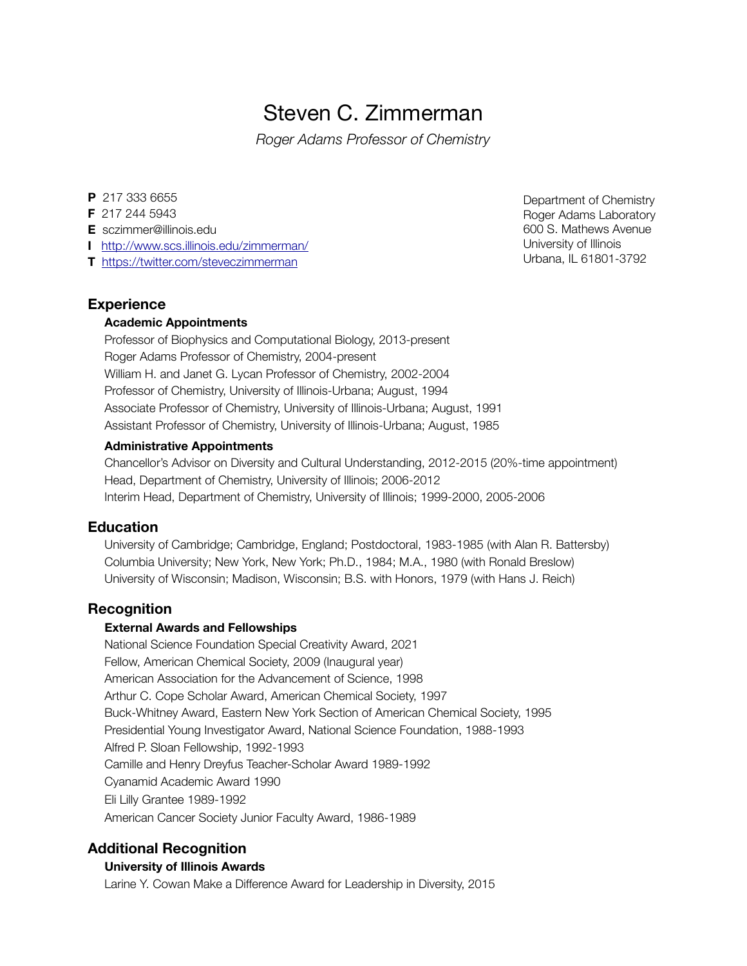# Steven C. Zimmerman

*Roger Adams Professor of Chemistry*

#### **P** 217 333 6655

- **F** 217 244 5943
- **E** sczimmer@illinois.edu
- **I** <http://www.scs.illinois.edu/zimmerman/>
- **T** <https://twitter.com/steveczimmerman>

### **Experience**

#### **Academic Appointments**

Professor of Biophysics and Computational Biology, 2013-present Roger Adams Professor of Chemistry, 2004-present William H. and Janet G. Lycan Professor of Chemistry, 2002-2004 Professor of Chemistry, University of Illinois-Urbana; August, 1994 Associate Professor of Chemistry, University of Illinois-Urbana; August, 1991 Assistant Professor of Chemistry, University of Illinois-Urbana; August, 1985

#### **Administrative Appointments**

Chancellor's Advisor on Diversity and Cultural Understanding, 2012-2015 (20%-time appointment) Head, Department of Chemistry, University of Illinois; 2006-2012 Interim Head, Department of Chemistry, University of Illinois; 1999-2000, 2005-2006

#### **Education**

University of Cambridge; Cambridge, England; Postdoctoral, 1983-1985 (with Alan R. Battersby) Columbia University; New York, New York; Ph.D., 1984; M.A., 1980 (with Ronald Breslow) University of Wisconsin; Madison, Wisconsin; B.S. with Honors, 1979 (with Hans J. Reich)

## **Recognition**

#### **External Awards and Fellowships**

National Science Foundation Special Creativity Award, 2021 Fellow, American Chemical Society, 2009 (Inaugural year) American Association for the Advancement of Science, 1998 Arthur C. Cope Scholar Award, American Chemical Society, 1997 Buck-Whitney Award, Eastern New York Section of American Chemical Society, 1995 Presidential Young Investigator Award, National Science Foundation, 1988-1993 Alfred P. Sloan Fellowship, 1992-1993 Camille and Henry Dreyfus Teacher-Scholar Award 1989-1992 Cyanamid Academic Award 1990 Eli Lilly Grantee 1989-1992 American Cancer Society Junior Faculty Award, 1986-1989

## **Additional Recognition**

#### **University of Illinois Awards**

Larine Y. Cowan Make a Difference Award for Leadership in Diversity, 2015

Department of Chemistry Roger Adams Laboratory 600 S. Mathews Avenue University of Illinois Urbana, IL 61801-3792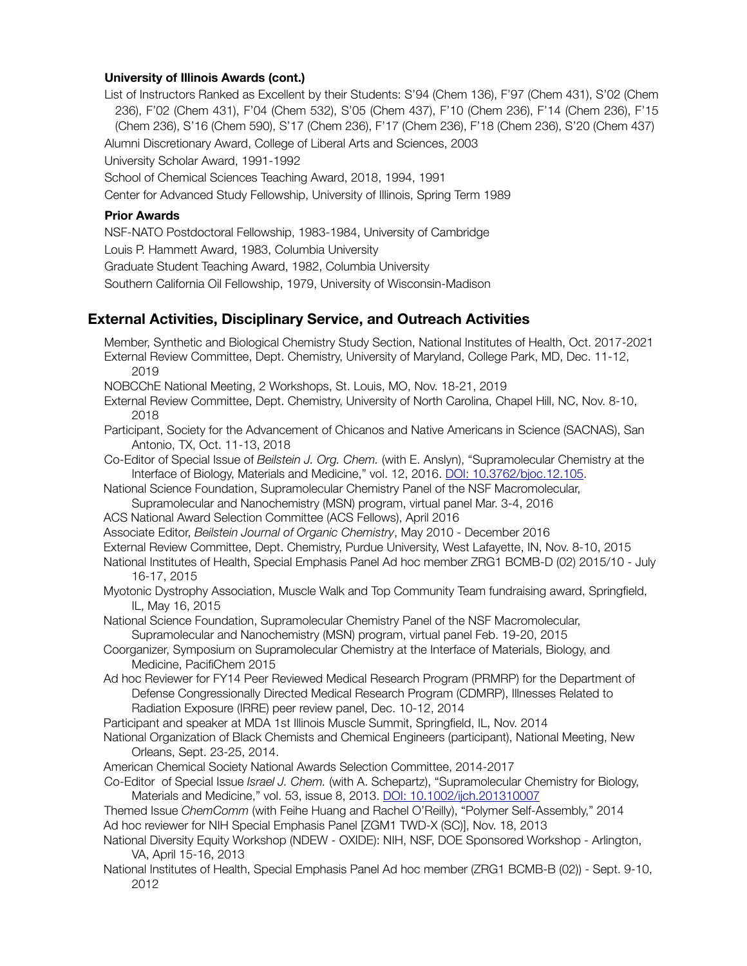#### **University of Illinois Awards (cont.)**

List of Instructors Ranked as Excellent by their Students: S'94 (Chem 136), F'97 (Chem 431), S'02 (Chem 236), F'02 (Chem 431), F'04 (Chem 532), S'05 (Chem 437), F'10 (Chem 236), F'14 (Chem 236), F'15 (Chem 236), S'16 (Chem 590), S'17 (Chem 236), F'17 (Chem 236), F'18 (Chem 236), S'20 (Chem 437) Alumni Discretionary Award, College of Liberal Arts and Sciences, 2003

University Scholar Award, 1991-1992

School of Chemical Sciences Teaching Award, 2018, 1994, 1991

Center for Advanced Study Fellowship, University of Illinois, Spring Term 1989

#### **Prior Awards**

NSF-NATO Postdoctoral Fellowship, 1983-1984, University of Cambridge

Louis P. Hammett Award, 1983, Columbia University

Graduate Student Teaching Award, 1982, Columbia University

Southern California Oil Fellowship, 1979, University of Wisconsin-Madison

# **External Activities, Disciplinary Service, and Outreach Activities**

Member, Synthetic and Biological Chemistry Study Section, National Institutes of Health, Oct. 2017-2021 External Review Committee, Dept. Chemistry, University of Maryland, College Park, MD, Dec. 11-12, 2019 NOBCChE National Meeting, 2 Workshops, St. Louis, MO, Nov. 18-21, 2019 External Review Committee, Dept. Chemistry, University of North Carolina, Chapel Hill, NC, Nov. 8-10, 2018 Participant, Society for the Advancement of Chicanos and Native Americans in Science (SACNAS), San Antonio, TX, Oct. 11-13, 2018 Co-Editor of Special Issue of *Beilstein J. Org. Chem.* (with E. Anslyn), "Supramolecular Chemistry at the Interface of Biology, Materials and Medicine," vol. 12, 2016. [DOI: 10.3762/bjoc.12.105](http://www.beilstein-journals.org/bjoc/single/articleFullText.htm?publicId=1860-5397-12-105). National Science Foundation, Supramolecular Chemistry Panel of the NSF Macromolecular, Supramolecular and Nanochemistry (MSN) program, virtual panel Mar. 3-4, 2016 ACS National Award Selection Committee (ACS Fellows), April 2016 Associate Editor, *Beilstein Journal of Organic Chemistry*, May 2010 - December 2016 External Review Committee, Dept. Chemistry, Purdue University, West Lafayette, IN, Nov. 8-10, 2015 National Institutes of Health, Special Emphasis Panel Ad hoc member ZRG1 BCMB-D (02) 2015/10 - July 16-17, 2015 Myotonic Dystrophy Association, Muscle Walk and Top Community Team fundraising award, Springfield, IL, May 16, 2015 National Science Foundation, Supramolecular Chemistry Panel of the NSF Macromolecular, Supramolecular and Nanochemistry (MSN) program, virtual panel Feb. 19-20, 2015 Coorganizer, Symposium on Supramolecular Chemistry at the Interface of Materials, Biology, and Medicine, PacifiChem 2015 Ad hoc Reviewer for FY14 Peer Reviewed Medical Research Program (PRMRP) for the Department of Defense Congressionally Directed Medical Research Program (CDMRP), Illnesses Related to Radiation Exposure (IRRE) peer review panel, Dec. 10-12, 2014 Participant and speaker at MDA 1st Illinois Muscle Summit, Springfield, IL, Nov. 2014 National Organization of Black Chemists and Chemical Engineers (participant), National Meeting, New Orleans, Sept. 23-25, 2014. American Chemical Society National Awards Selection Committee, 2014-2017 Co-Editor of Special Issue *Israel J. Chem.* (with A. Schepartz), "Supramolecular Chemistry for Biology, Materials and Medicine," vol. 53, issue 8, 2013. DOI: [10.1002/ijch.201310007](http://onlinelibrary.wiley.com/doi/10.1002/ijch.201310007/abstract) Themed Issue *ChemComm* (with Feihe Huang and Rachel O'Reilly), "Polymer Self-Assembly," 2014 Ad hoc reviewer for NIH Special Emphasis Panel [ZGM1 TWD-X (SC)], Nov. 18, 2013 National Diversity Equity Workshop (NDEW - OXIDE): NIH, NSF, DOE Sponsored Workshop - Arlington,

VA, April 15-16, 2013

National Institutes of Health, Special Emphasis Panel Ad hoc member (ZRG1 BCMB-B (02)) - Sept. 9-10, 2012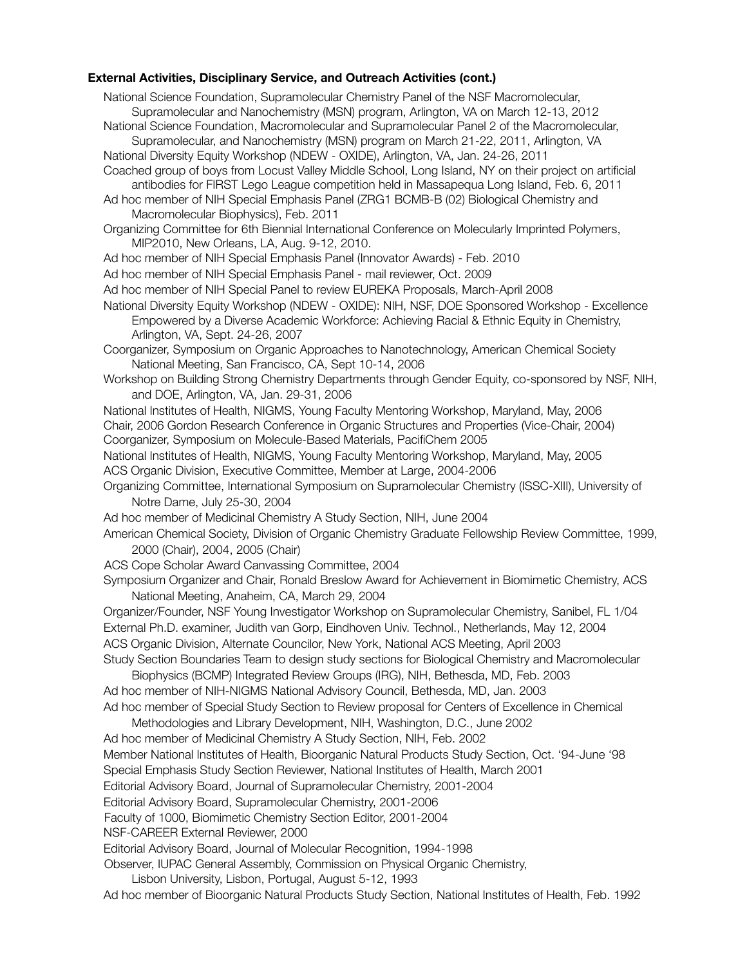#### **External Activities, Disciplinary Service, and Outreach Activities (cont.)**

National Science Foundation, Supramolecular Chemistry Panel of the NSF Macromolecular, Supramolecular and Nanochemistry (MSN) program, Arlington, VA on March 12-13, 2012 National Science Foundation, Macromolecular and Supramolecular Panel 2 of the Macromolecular, Supramolecular, and Nanochemistry (MSN) program on March 21-22, 2011, Arlington, VA National Diversity Equity Workshop (NDEW - OXIDE), Arlington, VA, Jan. 24-26, 2011 Coached group of boys from Locust Valley Middle School, Long Island, NY on their project on artificial antibodies for FIRST Lego League competition held in Massapequa Long Island, Feb. 6, 2011 Ad hoc member of NIH Special Emphasis Panel (ZRG1 BCMB-B (02) Biological Chemistry and Macromolecular Biophysics), Feb. 2011 Organizing Committee for 6th Biennial International Conference on Molecularly Imprinted Polymers, MIP2010, New Orleans, LA, Aug. 9-12, 2010. Ad hoc member of NIH Special Emphasis Panel (Innovator Awards) - Feb. 2010 Ad hoc member of NIH Special Emphasis Panel - mail reviewer, Oct. 2009 Ad hoc member of NIH Special Panel to review EUREKA Proposals, March-April 2008 National Diversity Equity Workshop (NDEW - OXIDE): NIH, NSF, DOE Sponsored Workshop - Excellence Empowered by a Diverse Academic Workforce: Achieving Racial & Ethnic Equity in Chemistry, Arlington, VA, Sept. 24-26, 2007 Coorganizer, Symposium on Organic Approaches to Nanotechnology, American Chemical Society National Meeting, San Francisco, CA, Sept 10-14, 2006 Workshop on Building Strong Chemistry Departments through Gender Equity, co-sponsored by NSF, NIH, and DOE, Arlington, VA, Jan. 29-31, 2006 National Institutes of Health, NIGMS, Young Faculty Mentoring Workshop, Maryland, May, 2006 Chair, 2006 Gordon Research Conference in Organic Structures and Properties (Vice-Chair, 2004) Coorganizer, Symposium on Molecule-Based Materials, PacifiChem 2005 National Institutes of Health, NIGMS, Young Faculty Mentoring Workshop, Maryland, May, 2005 ACS Organic Division, Executive Committee, Member at Large, 2004-2006 Organizing Committee, International Symposium on Supramolecular Chemistry (ISSC-XIII), University of Notre Dame, July 25-30, 2004 Ad hoc member of Medicinal Chemistry A Study Section, NIH, June 2004 American Chemical Society, Division of Organic Chemistry Graduate Fellowship Review Committee, 1999, 2000 (Chair), 2004, 2005 (Chair) ACS Cope Scholar Award Canvassing Committee, 2004 Symposium Organizer and Chair, Ronald Breslow Award for Achievement in Biomimetic Chemistry, ACS National Meeting, Anaheim, CA, March 29, 2004 Organizer/Founder, NSF Young Investigator Workshop on Supramolecular Chemistry, Sanibel, FL 1/04 External Ph.D. examiner, Judith van Gorp, Eindhoven Univ. Technol., Netherlands, May 12, 2004 ACS Organic Division, Alternate Councilor, New York, National ACS Meeting, April 2003 Study Section Boundaries Team to design study sections for Biological Chemistry and Macromolecular Biophysics (BCMP) Integrated Review Groups (IRG), NIH, Bethesda, MD, Feb. 2003 Ad hoc member of NIH-NIGMS National Advisory Council, Bethesda, MD, Jan. 2003 Ad hoc member of Special Study Section to Review proposal for Centers of Excellence in Chemical Methodologies and Library Development, NIH, Washington, D.C., June 2002 Ad hoc member of Medicinal Chemistry A Study Section, NIH, Feb. 2002 Member National Institutes of Health, Bioorganic Natural Products Study Section, Oct. '94-June '98 Special Emphasis Study Section Reviewer, National Institutes of Health, March 2001 Editorial Advisory Board, Journal of Supramolecular Chemistry, 2001-2004 Editorial Advisory Board, Supramolecular Chemistry, 2001-2006 Faculty of 1000, Biomimetic Chemistry Section Editor, 2001-2004 NSF-CAREER External Reviewer, 2000 Editorial Advisory Board, Journal of Molecular Recognition, 1994-1998 Observer, IUPAC General Assembly, Commission on Physical Organic Chemistry, Lisbon University, Lisbon, Portugal, August 5-12, 1993

Ad hoc member of Bioorganic Natural Products Study Section, National Institutes of Health, Feb. 1992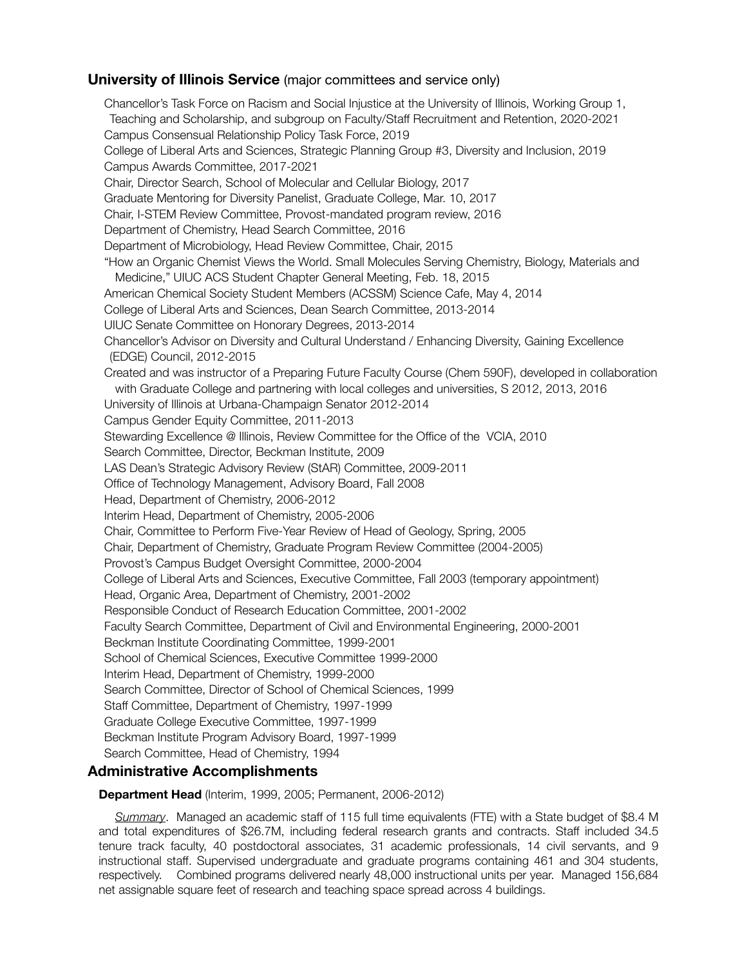## **University of Illinois Service** (major committees and service only)

Chancellor's Task Force on Racism and Social Injustice at the University of Illinois, Working Group 1, Teaching and Scholarship, and subgroup on Faculty/Staff Recruitment and Retention, 2020-2021 Campus Consensual Relationship Policy Task Force, 2019 College of Liberal Arts and Sciences, Strategic Planning Group #3, Diversity and Inclusion, 2019 Campus Awards Committee, 2017-2021 Chair, Director Search, School of Molecular and Cellular Biology, 2017 Graduate Mentoring for Diversity Panelist, Graduate College, Mar. 10, 2017 Chair, I-STEM Review Committee, Provost-mandated program review, 2016 Department of Chemistry, Head Search Committee, 2016 Department of Microbiology, Head Review Committee, Chair, 2015 "How an Organic Chemist Views the World. Small Molecules Serving Chemistry, Biology, Materials and Medicine," UIUC ACS Student Chapter General Meeting, Feb. 18, 2015 American Chemical Society Student Members (ACSSM) Science Cafe, May 4, 2014 College of Liberal Arts and Sciences, Dean Search Committee, 2013-2014 UIUC Senate Committee on Honorary Degrees, 2013-2014 Chancellor's Advisor on Diversity and Cultural Understand / Enhancing Diversity, Gaining Excellence (EDGE) Council, 2012-2015 Created and was instructor of a Preparing Future Faculty Course (Chem 590F), developed in collaboration with Graduate College and partnering with local colleges and universities, S 2012, 2013, 2016 University of Illinois at Urbana-Champaign Senator 2012-2014 Campus Gender Equity Committee, 2011-2013 Stewarding Excellence @ Illinois, Review Committee for the Office of the VCIA, 2010 Search Committee, Director, Beckman Institute, 2009 LAS Dean's Strategic Advisory Review (StAR) Committee, 2009-2011 Office of Technology Management, Advisory Board, Fall 2008 Head, Department of Chemistry, 2006-2012 Interim Head, Department of Chemistry, 2005-2006 Chair, Committee to Perform Five-Year Review of Head of Geology, Spring, 2005 Chair, Department of Chemistry, Graduate Program Review Committee (2004-2005) Provost's Campus Budget Oversight Committee, 2000-2004 College of Liberal Arts and Sciences, Executive Committee, Fall 2003 (temporary appointment) Head, Organic Area, Department of Chemistry, 2001-2002 Responsible Conduct of Research Education Committee, 2001-2002 Faculty Search Committee, Department of Civil and Environmental Engineering, 2000-2001 Beckman Institute Coordinating Committee, 1999-2001 School of Chemical Sciences, Executive Committee 1999-2000 Interim Head, Department of Chemistry, 1999-2000 Search Committee, Director of School of Chemical Sciences, 1999 Staff Committee, Department of Chemistry, 1997-1999 Graduate College Executive Committee, 1997-1999 Beckman Institute Program Advisory Board, 1997-1999 Search Committee, Head of Chemistry, 1994

# **Administrative Accomplishments**

#### **Department Head** (Interim, 1999, 2005; Permanent, 2006-2012)

*Summary*. Managed an academic staff of 115 full time equivalents (FTE) with a State budget of \$8.4 M and total expenditures of \$26.7M, including federal research grants and contracts. Staff included 34.5 tenure track faculty, 40 postdoctoral associates, 31 academic professionals, 14 civil servants, and 9 instructional staff. Supervised undergraduate and graduate programs containing 461 and 304 students, respectively. Combined programs delivered nearly 48,000 instructional units per year. Managed 156,684 net assignable square feet of research and teaching space spread across 4 buildings.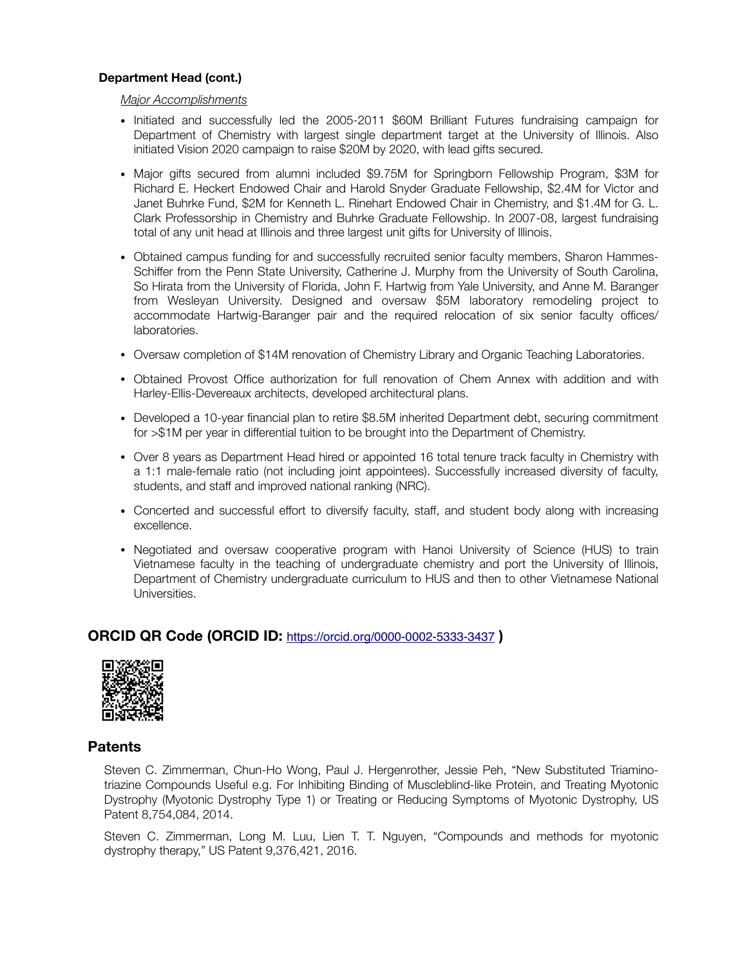#### **Department Head (cont.)**

#### *Major Accomplishments*

- *•* Initiated and successfully led the 2005-2011 \$60M Brilliant Futures fundraising campaign for Department of Chemistry with largest single department target at the University of Illinois. Also initiated Vision 2020 campaign to raise \$20M by 2020, with lead gifts secured.
- *•* Major gifts secured from alumni included \$9.75M for Springborn Fellowship Program, \$3M for Richard E. Heckert Endowed Chair and Harold Snyder Graduate Fellowship, \$2.4M for Victor and Janet Buhrke Fund, \$2M for Kenneth L. Rinehart Endowed Chair in Chemistry, and \$1.4M for G. L. Clark Professorship in Chemistry and Buhrke Graduate Fellowship. In 2007-08, largest fundraising total of any unit head at Illinois and three largest unit gifts for University of Illinois.
- *•* Obtained campus funding for and successfully recruited senior faculty members, Sharon Hammes-Schiffer from the Penn State University, Catherine J. Murphy from the University of South Carolina, So Hirata from the University of Florida, John F. Hartwig from Yale University, and Anne M. Baranger from Wesleyan University. Designed and oversaw \$5M laboratory remodeling project to accommodate Hartwig-Baranger pair and the required relocation of six senior faculty offices/ laboratories.
- Oversaw completion of \$14M renovation of Chemistry Library and Organic Teaching Laboratories.
- *•* Obtained Provost Office authorization for full renovation of Chem Annex with addition and with Harley-Ellis-Devereaux architects, developed architectural plans.
- *•* Developed a 10-year financial plan to retire \$8.5M inherited Department debt, securing commitment for >\$1M per year in differential tuition to be brought into the Department of Chemistry.
- *•* Over 8 years as Department Head hired or appointed 16 total tenure track faculty in Chemistry with a 1:1 male-female ratio (not including joint appointees). Successfully increased diversity of faculty, students, and staff and improved national ranking (NRC).
- *•* Concerted and successful effort to diversify faculty, staff, and student body along with increasing excellence.
- *•* Negotiated and oversaw cooperative program with Hanoi University of Science (HUS) to train Vietnamese faculty in the teaching of undergraduate chemistry and port the University of Illinois, Department of Chemistry undergraduate curriculum to HUS and then to other Vietnamese National Universities.

# **ORCID QR Code (ORCID ID:** <https://orcid.org/0000-0002-5333-3437> **)**



## **Patents**

Steven C. Zimmerman, Chun-Ho Wong, Paul J. Hergenrother, Jessie Peh, "New Substituted Triaminotriazine Compounds Useful e.g. For Inhibiting Binding of Muscleblind-like Protein, and Treating Myotonic Dystrophy (Myotonic Dystrophy Type 1) or Treating or Reducing Symptoms of Myotonic Dystrophy, US Patent 8,754,084, 2014.

Steven C. Zimmerman, Long M. Luu, Lien T. T. Nguyen, "Compounds and methods for myotonic dystrophy therapy," US Patent 9,376,421, 2016.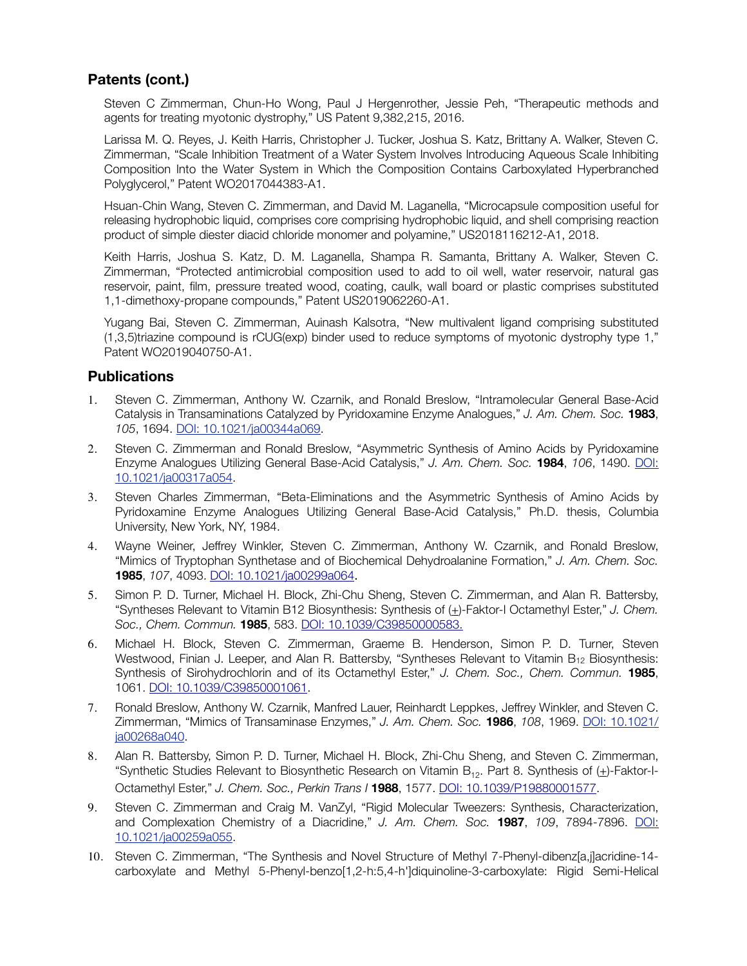# **Patents (cont.)**

Steven C Zimmerman, Chun-Ho Wong, Paul J Hergenrother, Jessie Peh, "Therapeutic methods and agents for treating myotonic dystrophy," US Patent 9,382,215, 2016.

Larissa M. Q. Reyes, J. Keith Harris, Christopher J. Tucker, Joshua S. Katz, Brittany A. Walker, Steven C. Zimmerman, "Scale Inhibition Treatment of a Water System Involves Introducing Aqueous Scale Inhibiting Composition Into the Water System in Which the Composition Contains Carboxylated Hyperbranched Polyglycerol," Patent WO2017044383-A1.

Hsuan-Chin Wang, Steven C. Zimmerman, and David M. Laganella, "Microcapsule composition useful for releasing hydrophobic liquid, comprises core comprising hydrophobic liquid, and shell comprising reaction product of simple diester diacid chloride monomer and polyamine," US2018116212-A1, 2018.

Keith Harris, Joshua S. Katz, D. M. Laganella, Shampa R. Samanta, Brittany A. Walker, Steven C. Zimmerman, "Protected antimicrobial composition used to add to oil well, water reservoir, natural gas reservoir, paint, film, pressure treated wood, coating, caulk, wall board or plastic comprises substituted 1,1-dimethoxy-propane compounds," Patent US2019062260-A1.

Yugang Bai, Steven C. Zimmerman, Auinash Kalsotra, "New multivalent ligand comprising substituted (1,3,5)triazine compound is rCUG(exp) binder used to reduce symptoms of myotonic dystrophy type 1," Patent WO2019040750-A1.

## **Publications**

- 1. Steven C. Zimmerman, Anthony W. Czarnik, and Ronald Breslow, "Intramolecular General Base-Acid Catalysis in Transaminations Catalyzed by Pyridoxamine Enzyme Analogues," *J. Am. Chem. Soc.* **1983**, *105*, 1694. [DOI: 10.1021/ja00344a069.](http://pubs.acs.org/doi/abs/10.1021/ja00344a069)
- 2. Steven C. Zimmerman and Ronald Breslow, "Asymmetric Synthesis of Amino Acids by Pyridoxamine Enzyme Analogues Utilizing General Base-Acid Catalysis," *J. Am. Chem. Soc.* **1984**, *106*, 1490. [DOI:](http://pubs.acs.org/doi/abs/10.1021/ja00317a054) [10.1021/ja00317a054.](http://pubs.acs.org/doi/abs/10.1021/ja00317a054)
- 3. Steven Charles Zimmerman, "Beta-Eliminations and the Asymmetric Synthesis of Amino Acids by Pyridoxamine Enzyme Analogues Utilizing General Base-Acid Catalysis," Ph.D. thesis, Columbia University, New York, NY, 1984.
- 4. Wayne Weiner, Jeffrey Winkler, Steven C. Zimmerman, Anthony W. Czarnik, and Ronald Breslow, "Mimics of Tryptophan Synthetase and of Biochemical Dehydroalanine Formation," *J. Am. Chem. Soc.*  **1985**, *107*, 4093. [DOI: 10.1021/ja00299a064](http://pubs.acs.org/doi/abs/10.1021/ja00299a064).
- 5. Simon P. D. Turner, Michael H. Block, Zhi-Chu Sheng, Steven C. Zimmerman, and Alan R. Battersby, "Syntheses Relevant to Vitamin B12 Biosynthesis: Synthesis of (+)-Faktor-I Octamethyl Ester," *J. Chem. Soc., Chem. Commun.* **1985**, 583. [DOI: 10.1039/C39850000583.](http://pubs.rsc.org/en/content/articlelanding/1985/c3/c39850000583#!divAbstract)
- 6. Michael H. Block, Steven C. Zimmerman, Graeme B. Henderson, Simon P. D. Turner, Steven Westwood, Finian J. Leeper, and Alan R. Battersby, "Syntheses Relevant to Vitamin  $B_{12}$  Biosynthesis: Synthesis of Sirohydrochlorin and of its Octamethyl Ester," *J. Chem. Soc., Chem. Commun.* **1985**, 1061. [DOI: 10.1039/C39850001061](http://pubs.rsc.org/en/content/articlelanding/1985/c3/c39850001061#!divAbstract).
- 7. Ronald Breslow, Anthony W. Czarnik, Manfred Lauer, Reinhardt Leppkes, Jeffrey Winkler, and Steven C. Zimmerman, "Mimics of Transaminase Enzymes," *J. Am. Chem. Soc.* **1986**, *108*, 1969. [DOI: 10.1021/](http://pubs.acs.org/doi/abs/10.1021/ja00268a040) [ja00268a040](http://pubs.acs.org/doi/abs/10.1021/ja00268a040).
- 8. Alan R. Battersby, Simon P. D. Turner, Michael H. Block, Zhi-Chu Sheng, and Steven C. Zimmerman, "Synthetic Studies Relevant to Biosynthetic Research on Vitamin  $B_{12}$ . Part 8. Synthesis of  $(\pm)$ -Faktor-I-Octamethyl Ester," *J. Chem. Soc., Perkin Trans I* **1988**, 1577. [DOI: 10.1039/P19880001577.](http://pubs.rsc.org/en/content/articlelanding/1988/p1/p19880001577#!divAbstract)
- 9. Steven C. Zimmerman and Craig M. VanZyl, "Rigid Molecular Tweezers: Synthesis, Characterization, and Complexation Chemistry of a Diacridine," *J. Am. Chem. Soc.* **1987**, *109*, 7894-7896. [DOI:](http://pubs.acs.org/doi/abs/10.1021/ja00259a055) [10.1021/ja00259a055.](http://pubs.acs.org/doi/abs/10.1021/ja00259a055)
- 10. Steven C. Zimmerman, "The Synthesis and Novel Structure of Methyl 7-Phenyl-dibenz[a,j]acridine-14 carboxylate and Methyl 5-Phenyl-benzo[1,2-h:5,4-h']diquinoline-3-carboxylate: Rigid Semi-Helical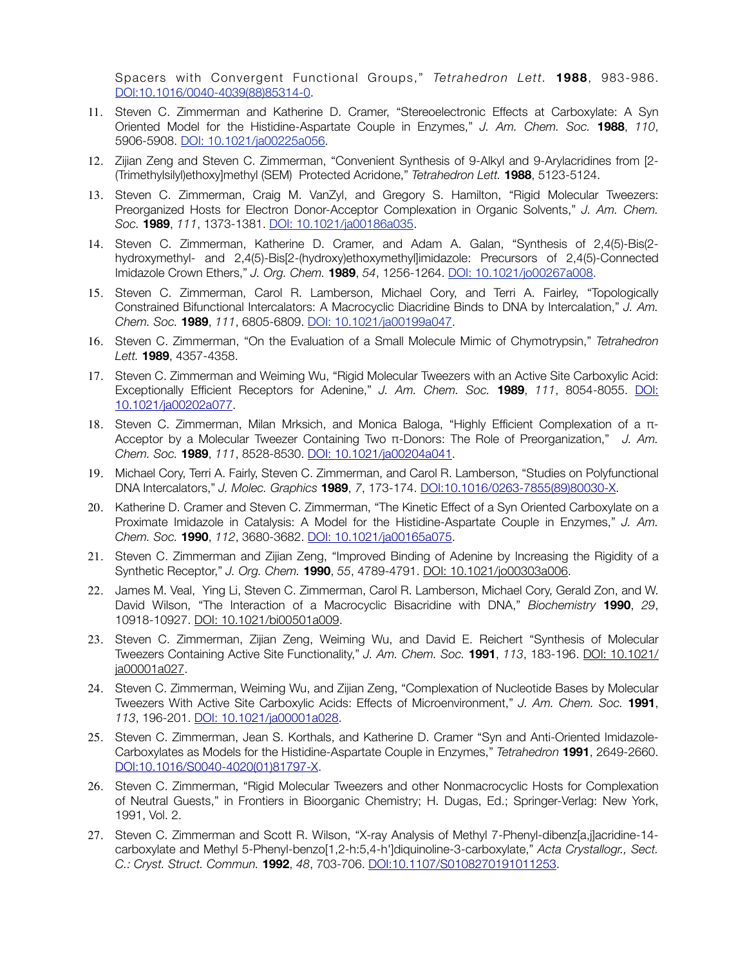Spacers with Convergent Functional Groups," *Tetrahedron Lett.* **1988**, 983-986. [DOI:10.1016/0040-4039\(88\)85314-0](http://www.sciencedirect.com/science/article/pii/0040403988853140).

- 11. Steven C. Zimmerman and Katherine D. Cramer, "Stereoelectronic Effects at Carboxylate: A Syn Oriented Model for the Histidine-Aspartate Couple in Enzymes," *J. Am. Chem. Soc.* **1988**, *110*, 5906-5908. [DOI: 10.1021/ja00225a056](http://pubs.acs.org/doi/abs/10.1021/ja00225a056).
- 12. Zijian Zeng and Steven C. Zimmerman, "Convenient Synthesis of 9-Alkyl and 9-Arylacridines from [2- (Trimethylsilyl)ethoxy]methyl (SEM) Protected Acridone," *Tetrahedron Lett.* **1988**, 5123-5124.
- 13. Steven C. Zimmerman, Craig M. VanZyl, and Gregory S. Hamilton, "Rigid Molecular Tweezers: Preorganized Hosts for Electron Donor-Acceptor Complexation in Organic Solvents," *J. Am. Chem. Soc.* **1989**, *111*, 1373-1381. [DOI: 10.1021/ja00186a035](http://pubs.acs.org/doi/abs/10.1021/ja00186a035).
- 14. Steven C. Zimmerman, Katherine D. Cramer, and Adam A. Galan, "Synthesis of 2,4(5)-Bis(2 hydroxymethyl- and 2,4(5)-Bis[2-(hydroxy)ethoxymethyl]imidazole: Precursors of 2,4(5)-Connected Imidazole Crown Ethers," *J. Org. Chem.* **1989**, *54*, 1256-1264. DOI: 10.1021/jo00267a008.
- 15. Steven C. Zimmerman, Carol R. Lamberson, Michael Cory, and Terri A. Fairley, "Topologically Constrained Bifunctional Intercalators: A Macrocyclic Diacridine Binds to DNA by Intercalation," *J. Am. Chem. Soc.* **1989**, *111*, 6805-6809. [DOI: 10.1021/ja00199a047.](http://pubs.acs.org/doi/abs/10.1021/ja00199a047)
- 16. Steven C. Zimmerman, "On the Evaluation of a Small Molecule Mimic of Chymotrypsin," *Tetrahedron Lett.* **1989**, 4357-4358.
- 17. Steven C. Zimmerman and Weiming Wu, "Rigid Molecular Tweezers with an Active Site Carboxylic Acid: Exceptionally Efficient Receptors for Adenine," *J. Am. Chem. Soc.* **1989**, *111*, 8054-8055. [DOI:](http://pubs.acs.org/doi/abs/10.1021/ja00202a077) [10.1021/ja00202a077.](http://pubs.acs.org/doi/abs/10.1021/ja00202a077)
- 18. Steven C. Zimmerman, Milan Mrksich, and Monica Baloga, "Highly Efficient Complexation of a π-Acceptor by a Molecular Tweezer Containing Two π-Donors: The Role of Preorganization," *J. Am. Chem. Soc.* **1989**, *111*, 8528-8530. [DOI: 10.1021/ja00204a041.](http://pubs.acs.org/doi/abs/10)
- 19. Michael Cory, Terri A. Fairly, Steven C. Zimmerman, and Carol R. Lamberson, "Studies on Polyfunctional DNA Intercalators," *J. Molec. Graphics* **1989**, *7*, 173-174. [DOI:10.1016/0263-7855\(89\)80030-X.](http://www.sciencedirect.com/science/article/pii/026378558980030X)
- 20. Katherine D. Cramer and Steven C. Zimmerman, "The Kinetic Effect of a Syn Oriented Carboxylate on a Proximate Imidazole in Catalysis: A Model for the Histidine-Aspartate Couple in Enzymes," *J. Am. Chem. Soc.* **1990**, *112*, 3680-3682. [DOI: 10.1021/ja00165a075.](http://pubs.acs.org/doi/abs/10.1021/ja00165a075)
- 21. Steven C. Zimmerman and Zijian Zeng, "Improved Binding of Adenine by Increasing the Rigidity of a Synthetic Receptor," *J. Org. Chem.* **1990**, *55*, 4789-4791. [DOI: 10.1021/jo00303a006.](http://pubs.acs.org/doi/abs/10.1021/jo00303a006)
- 22. James M. Veal, Ying Li, Steven C. Zimmerman, Carol R. Lamberson, Michael Cory, Gerald Zon, and W. David Wilson, "The Interaction of a Macrocyclic Bisacridine with DNA," *Biochemistry* **1990**, *29*, 10918-10927. [DOI: 10.1021/bi00501a009](http://pubs.acs.org/doi/abs/10.1021/bi00501a009).
- 23. Steven C. Zimmerman, Zijian Zeng, Weiming Wu, and David E. Reichert "Synthesis of Molecular Tweezers Containing Active Site Functionality," *J. Am. Chem. Soc.* **1991**, *113*, 183-196. [DOI: 10.1021/](http://pubs.acs.org/doi/abs/10.1021/ja00001a027) [ja00001a027](http://pubs.acs.org/doi/abs/10.1021/ja00001a027).
- 24. Steven C. Zimmerman, Weiming Wu, and Zijian Zeng, "Complexation of Nucleotide Bases by Molecular Tweezers With Active Site Carboxylic Acids: Effects of Microenvironment," *J. Am. Chem. Soc.* **1991**, *113*, 196-201. [DOI: 10.1021/ja00001a028.](http://pubs.acs.org/doi/abs/10.1021/ja00001a028)
- 25. Steven C. Zimmerman, Jean S. Korthals, and Katherine D. Cramer "Syn and Anti-Oriented Imidazole-Carboxylates as Models for the Histidine-Aspartate Couple in Enzymes," *Tetrahedron* **1991**, 2649-2660. [DOI:10.1016/S0040-4020\(01\)81797-X.](http://www.sciencedirect.com/science/article/pii/S004040200181797X)
- 26. Steven C. Zimmerman, "Rigid Molecular Tweezers and other Nonmacrocyclic Hosts for Complexation of Neutral Guests," in Frontiers in Bioorganic Chemistry; H. Dugas, Ed.; Springer-Verlag: New York, 1991, Vol. 2.
- 27. Steven C. Zimmerman and Scott R. Wilson, "X-ray Analysis of Methyl 7-Phenyl-dibenz[a,j]acridine-14 carboxylate and Methyl 5-Phenyl-benzo[1,2-h:5,4-h']diquinoline-3-carboxylate," *Acta Crystallogr., Sect. C.: Cryst. Struct. Commun.* **1992**, *48*, 703-706. [DOI:10.1107/S0108270191011253](http://scripts.iucr.org/cgi-bin/paper?S0108270191011253).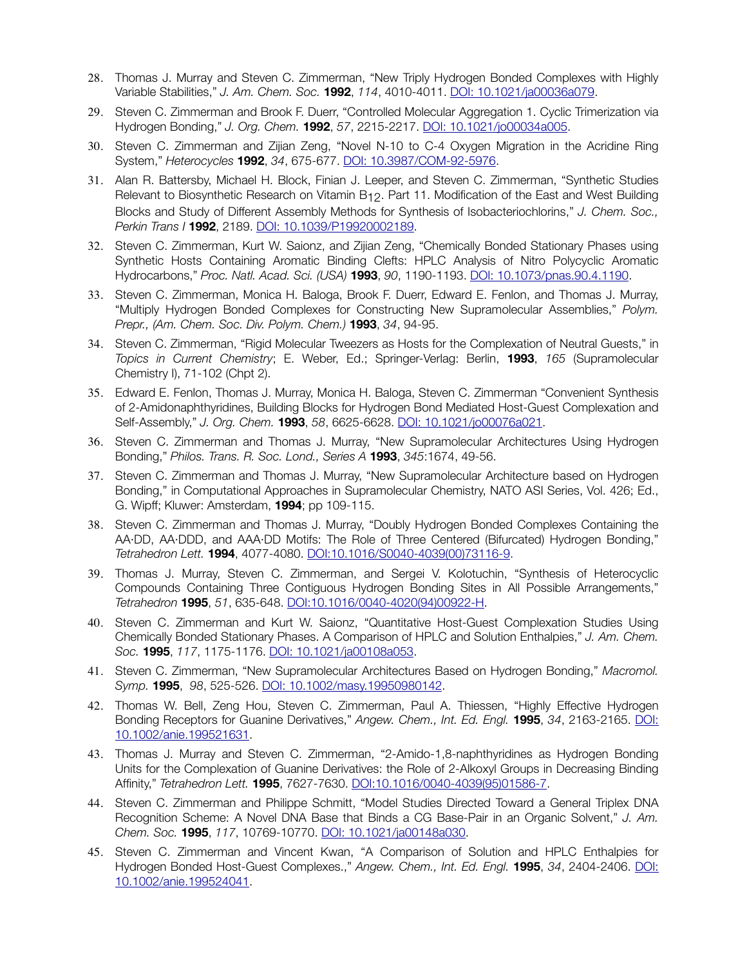- 28. Thomas J. Murray and Steven C. Zimmerman, "New Triply Hydrogen Bonded Complexes with Highly Variable Stabilities," *J. Am. Chem. Soc.* **1992**, *114*, 4010-4011. [DOI: 10.1021/ja00036a079](http://pubs.acs.org/doi/abs/10.1021/ja00036a079).
- 29. Steven C. Zimmerman and Brook F. Duerr, "Controlled Molecular Aggregation 1. Cyclic Trimerization via Hydrogen Bonding," *J. Org. Chem.* **1992**, *57*, 2215-2217. [DOI: 10.1021/jo00034a005](http://pubs.acs.org/doi/abs/10.1021/jo00034a005).
- 30. Steven C. Zimmerman and Zijian Zeng, "Novel N-10 to C-4 Oxygen Migration in the Acridine Ring System," *Heterocycles* **1992**, *34*, 675-677. [DOI: 10.3987/COM-92-5976.](http://www.heterocycles.jp/newlibrary/libraries/search)
- 31. Alan R. Battersby, Michael H. Block, Finian J. Leeper, and Steven C. Zimmerman, "Synthetic Studies Relevant to Biosynthetic Research on Vitamin B12. Part 11. Modification of the East and West Building Blocks and Study of Different Assembly Methods for Synthesis of Isobacteriochlorins," *J. Chem. Soc., Perkin Trans I* **1992**, 2189. [DOI: 10.1039/P19920002189](http://pubs.rsc.org/en/content/articlelanding/1992/p1/p19920002189%22%20%5Cl%20%22!divAbstract).
- 32. Steven C. Zimmerman, Kurt W. Saionz, and Zijian Zeng, "Chemically Bonded Stationary Phases using Synthetic Hosts Containing Aromatic Binding Clefts: HPLC Analysis of Nitro Polycyclic Aromatic Hydrocarbons," *Proc. Natl. Acad. Sci. (USA)* **1993**, *90*, 1190-1193. [DOI: 10.1073/pnas.90.4.1190](http://www.pnas.org/content/90/4/1190.short).
- 33. Steven C. Zimmerman, Monica H. Baloga, Brook F. Duerr, Edward E. Fenlon, and Thomas J. Murray, "Multiply Hydrogen Bonded Complexes for Constructing New Supramolecular Assemblies," *Polym. Prepr., (Am. Chem. Soc. Div. Polym. Chem.)* **1993**, *34*, 94-95.
- 34. Steven C. Zimmerman, "Rigid Molecular Tweezers as Hosts for the Complexation of Neutral Guests," in *Topics in Current Chemistry*; E. Weber, Ed.; Springer-Verlag: Berlin, **1993**, *165* (Supramolecular Chemistry I), 71-102 (Chpt 2).
- 35. Edward E. Fenlon, Thomas J. Murray, Monica H. Baloga, Steven C. Zimmerman "Convenient Synthesis of 2-Amidonaphthyridines, Building Blocks for Hydrogen Bond Mediated Host-Guest Complexation and Self-Assembly," *J. Org. Chem.* **1993**, *58*, 6625-6628. [DOI: 10.1021/jo00076a021.](http://pubs.acs.org/doi/abs/10.1021/jo00076a021)
- 36. Steven C. Zimmerman and Thomas J. Murray, "New Supramolecular Architectures Using Hydrogen Bonding," *Philos. Trans. R. Soc. Lond., Series A* **1993**, *345*:1674, 49-56.
- 37. Steven C. Zimmerman and Thomas J. Murray, "New Supramolecular Architecture based on Hydrogen Bonding," in Computational Approaches in Supramolecular Chemistry, NATO ASI Series, Vol. 426; Ed., G. Wipff; Kluwer: Amsterdam, **1994**; pp 109-115.
- 38. Steven C. Zimmerman and Thomas J. Murray, "Doubly Hydrogen Bonded Complexes Containing the AA·DD, AA·DDD, and AAA·DD Motifs: The Role of Three Centered (Bifurcated) Hydrogen Bonding," *Tetrahedron Lett.* **1994**, 4077-4080. DOI:10.1016/S0040-4039(00)73116-9.
- 39. Thomas J. Murray, Steven C. Zimmerman, and Sergei V. Kolotuchin, "Synthesis of Heterocyclic Compounds Containing Three Contiguous Hydrogen Bonding Sites in All Possible Arrangements," *Tetrahedron* **1995**, *51*, 635-648. [DOI:10.1016/0040-4020\(94\)00922-H.](http://www.sciencedirect.com/science/article/pii/004040209400922H)
- 40. Steven C. Zimmerman and Kurt W. Saionz, "Quantitative Host-Guest Complexation Studies Using Chemically Bonded Stationary Phases. A Comparison of HPLC and Solution Enthalpies," *J. Am. Chem. Soc.* **1995**, *117*, 1175-1176. [DOI: 10.1021/ja00108a053](http://pubs.acs.org/doi/abs/10.1021/ja00108a053).
- 41. Steven C. Zimmerman, "New Supramolecular Architectures Based on Hydrogen Bonding," *Macromol. Symp.* **1995**, *98*, 525-526. [DOI: 10.1002/masy.19950980142](http://onlinelibrary.wiley.com/doi/10.1002/masy.19950980142/abstract).
- 42. Thomas W. Bell, Zeng Hou, Steven C. Zimmerman, Paul A. Thiessen, "Highly Effective Hydrogen Bonding Receptors for Guanine Derivatives," *Angew. Chem., Int. Ed. Engl.* **1995**, *34*, 2163-2165. [DOI:](http://www.apple.com) [10.1002/anie.199521631](http://www.apple.com).
- 43. Thomas J. Murray and Steven C. Zimmerman, "2-Amido-1,8-naphthyridines as Hydrogen Bonding Units for the Complexation of Guanine Derivatives: the Role of 2-Alkoxyl Groups in Decreasing Binding Affinity," *Tetrahedron Lett.* **1995**, 7627-7630. [DOI:10.1016/0040-4039\(95\)01586-7](http://www.sciencedirect.com/science/article/pii/0040403995015867).
- 44. Steven C. Zimmerman and Philippe Schmitt, "Model Studies Directed Toward a General Triplex DNA Recognition Scheme: A Novel DNA Base that Binds a CG Base-Pair in an Organic Solvent," *J. Am. Chem. Soc.* **1995**, *117*, 10769-10770. [DOI: 10.1021/ja00148a030.](http://pubs.acs.org/doi/abs/10.1021/j)
- 45. Steven C. Zimmerman and Vincent Kwan, "A Comparison of Solution and HPLC Enthalpies for Hydrogen Bonded Host-Guest Complexes.," *Angew. Chem., Int. Ed. Engl.* **1995**, *34*, 2404-2406. [DOI:](http://onlinelibrary.wiley) [10.1002/anie.199524041](http://onlinelibrary.wiley).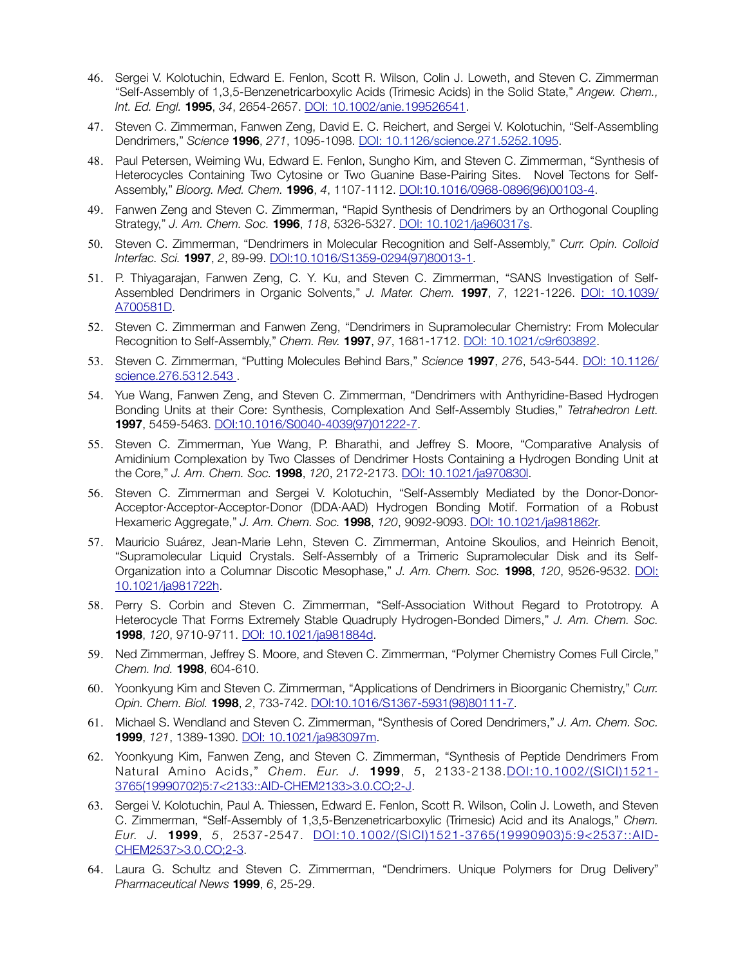- 46. Sergei V. Kolotuchin, Edward E. Fenlon, Scott R. Wilson, Colin J. Loweth, and Steven C. Zimmerman "Self-Assembly of 1,3,5-Benzenetricarboxylic Acids (Trimesic Acids) in the Solid State," *Angew. Chem., Int. Ed. Engl.* **1995**, *34*, 2654-2657. [DOI: 10.1002/anie.199526541.](http://onlinelibrary.wiley.com/doi/10.1002/anie.199526541/full)
- 47. Steven C. Zimmerman, Fanwen Zeng, David E. C. Reichert, and Sergei V. Kolotuchin, "Self-Assembling Dendrimers," *Science* **1996**, *271*, 1095-1098. [DOI: 10.1126/science.271.5252.1095](http://www.sciencemag.org/content/271/5252/1095).
- 48. Paul Petersen, Weiming Wu, Edward E. Fenlon, Sungho Kim, and Steven C. Zimmerman, "Synthesis of Heterocycles Containing Two Cytosine or Two Guanine Base-Pairing Sites. Novel Tectons for Self-Assembly," *Bioorg. Med. Chem.* **1996**, *4*, 1107-1112. [DOI:10.1016/0968-0896\(96\)00103-4](http://www.sciencedirect.com/science/article/pii/0968089696001034).
- 49. Fanwen Zeng and Steven C. Zimmerman, "Rapid Synthesis of Dendrimers by an Orthogonal Coupling Strategy," *J. Am. Chem. Soc.* **1996**, *118*, 5326-5327. [DOI: 10.1021/ja960317s](http://pubs.acs.org/doi/abs/10.1021/ja960317s).
- 50. Steven C. Zimmerman, "Dendrimers in Molecular Recognition and Self-Assembly," *Curr. Opin. Colloid Interfac. Sci.* **1997**, *2*, 89-99. [DOI:10.1016/S1359-0294\(97\)80013-1](http://www.sciencedirect.com/science/article/pii/S1359029497800131).
- 51. P. Thiyagarajan, Fanwen Zeng, C. Y. Ku, and Steven C. Zimmerman, "SANS Investigation of Self-Assembled Dendrimers in Organic Solvents," *J. Mater. Chem.* **1997**, *7*, 1221-1226. [DOI: 10.1039/](http://pubs.rsc.org/en/content/articlelanding/1997/jm/a700581d%22%20%5Cl%20%22!divAbstract) [A700581D](http://pubs.rsc.org/en/content/articlelanding/1997/jm/a700581d%22%20%5Cl%20%22!divAbstract).
- 52. Steven C. Zimmerman and Fanwen Zeng, "Dendrimers in Supramolecular Chemistry: From Molecular Recognition to Self-Assembly," *Chem. Rev.* **1997**, *97*, 1681-1712. [DOI: 10.1021/c9r603892.](http://dx.doi.org/10.1021/cr9603892)
- 53. Steven C. Zimmerman, "Putting Molecules Behind Bars," *Science* **1997**, *276*, 543-544. [DOI: 10.1126/](http://www.apple.com) [science.276.5312.543](http://www.apple.com) .
- 54. Yue Wang, Fanwen Zeng, and Steven C. Zimmerman, "Dendrimers with Anthyridine-Based Hydrogen Bonding Units at their Core: Synthesis, Complexation And Self-Assembly Studies," *Tetrahedron Lett.*  **1997**, 5459-5463. [DOI:10.1016/S0040-4039\(97\)01222-7](http://www.sciencedirect.com/science/article/pii/S0040403997012227).
- 55. Steven C. Zimmerman, Yue Wang, P. Bharathi, and Jeffrey S. Moore, "Comparative Analysis of Amidinium Complexation by Two Classes of Dendrimer Hosts Containing a Hydrogen Bonding Unit at the Core," *J. Am. Chem. Soc.* **1998**, *120*, 2172-2173. [DOI: 10.1021/ja970830l](http://pubs.acs.org/doi/abs/10.1021/ja970830l).
- 56. Steven C. Zimmerman and Sergei V. Kolotuchin, "Self-Assembly Mediated by the Donor-Donor-Acceptor·Acceptor-Acceptor-Donor (DDA·AAD) Hydrogen Bonding Motif. Formation of a Robust Hexameric Aggregate," *J. Am. Chem. Soc.* **1998**, *120*, 9092-9093. [DOI: 10.1021/ja981862r.](http://pubs.acs.org/doi/abs/10.1021/ja981862r)
- 57. Mauricio Suárez, Jean-Marie Lehn, Steven C. Zimmerman, Antoine Skoulios, and Heinrich Benoit, "Supramolecular Liquid Crystals. Self-Assembly of a Trimeric Supramolecular Disk and its Self-Organization into a Columnar Discotic Mesophase," *J. Am. Chem. Soc.* **1998**, *120*, 9526-9532. [DOI:](http://pubs.acs.org/doi/abs/10.1021/ja981722h) [10.1021/ja981722h.](http://pubs.acs.org/doi/abs/10.1021/ja981722h)
- 58. Perry S. Corbin and Steven C. Zimmerman, "Self-Association Without Regard to Prototropy. A Heterocycle That Forms Extremely Stable Quadruply Hydrogen-Bonded Dimers," *J. Am. Chem. Soc.* **1998**, *120*, 9710-9711. [DOI: 10.1021/ja981884d.](http://pubs.acs.org/doi/abs/10.1021/ja981884d)
- 59. Ned Zimmerman, Jeffrey S. Moore, and Steven C. Zimmerman, "Polymer Chemistry Comes Full Circle," *Chem. Ind.* **1998**, 604-610.
- 60. Yoonkyung Kim and Steven C. Zimmerman, "Applications of Dendrimers in Bioorganic Chemistry," *Curr. Opin. Chem. Biol.* **1998**, *2*, 733-742. [DOI:10.1016/S1367-5931\(98\)80111-7](http://www.sciencedirect.com/science/artic).
- 61. Michael S. Wendland and Steven C. Zimmerman, "Synthesis of Cored Dendrimers," *J. Am. Chem. Soc.*  **1999**, *121*, 1389-1390. [DOI: 10.1021/ja983097m.](http://pubs.acs.org/doi/abs/10.1021/ja983097m)
- 62. Yoonkyung Kim, Fanwen Zeng, and Steven C. Zimmerman, "Synthesis of Peptide Dendrimers From Natural Amino Acids," *Chem. Eur. J.* **1999**, *5*, 2133-2138.[DOI:10.1002/\(SICI\)1521-](http://onlinelibrary.wiley.com/doi/10.1002/%28SICI%291521-3765%2819990702%295:7%3C2133::AID-CHEM2133%3E3.0.CO;2-J/full)  [3765\(19990702\)5:7<2133::AID-CHEM2133>3.0.CO;2-J](http://onlinelibrary.wiley.com/doi/10.1002/%28SICI%291521-3765%2819990702%295:7%3C2133::AID-CHEM2133%3E3.0.CO;2-J/full).
- 63. Sergei V. Kolotuchin, Paul A. Thiessen, Edward E. Fenlon, Scott R. Wilson, Colin J. Loweth, and Steven C. Zimmerman, "Self-Assembly of 1,3,5-Benzenetricarboxylic (Trimesic) Acid and its Analogs," *Chem. Eur. J.* **1999**, *5*, 2537-2547. [DOI:10.1002/\(SICI\)1521-3765\(19990903\)5:9<2537::AID-](http://onlinelibrary.wiley.com/doi/10.1002/%2528SICI%25291521-3765%25)[CHEM2537>3.0.CO;2-3.](http://onlinelibrary.wiley.com/doi/10.1002/%2528SICI%25291521-3765%25)
- 64. Laura G. Schultz and Steven C. Zimmerman, "Dendrimers. Unique Polymers for Drug Delivery" *Pharmaceutical News* **1999**, *6*, 25-29.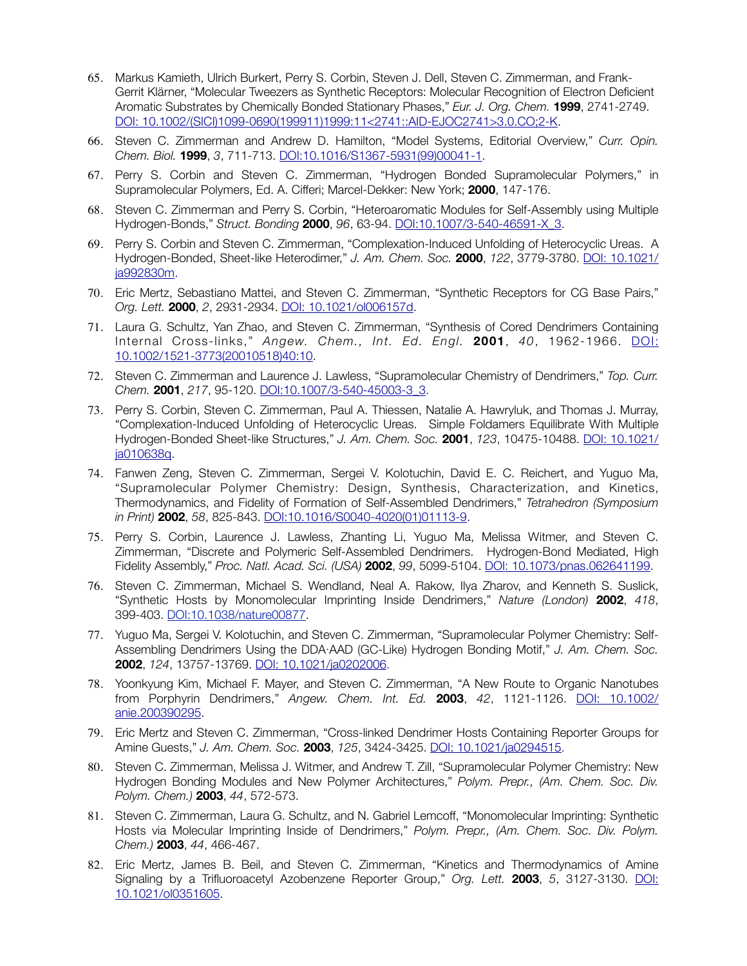- 65. Markus Kamieth, Ulrich Burkert, Perry S. Corbin, Steven J. Dell, Steven C. Zimmerman, and Frank-Gerrit Klärner, "Molecular Tweezers as Synthetic Receptors: Molecular Recognition of Electron Deficient Aromatic Substrates by Chemically Bonded Stationary Phases," *Eur. J. Org. Chem.* **1999**, 2741-2749. [DOI: 10.1002/\(SICI\)1099-0690\(199911\)1999:11<2741::AID-EJOC2741>3.0.CO;2-K](http://onlinelibrary.wiley.com/doi/10.1002/(SICI)1099-0690(199911)1999:11).
- 66. Steven C. Zimmerman and Andrew D. Hamilton, "Model Systems, Editorial Overview," *Curr. Opin. Chem. Biol.* **1999**, *3*, 711-713. [DOI:10.1016/S1367-5931\(99\)00041-1](http://www.scienced).
- 67. Perry S. Corbin and Steven C. Zimmerman, "Hydrogen Bonded Supramolecular Polymers," in Supramolecular Polymers, Ed. A. Cifferi; Marcel-Dekker: New York; **2000**, 147-176.
- 68. Steven C. Zimmerman and Perry S. Corbin, "Heteroaromatic Modules for Self-Assembly using Multiple Hydrogen-Bonds," *Struct. Bonding* **2000**, *96*, 63-94. [DOI:10.1007/3-540-46591-X\\_3](http://link.springer.com/chapter/10.1007/3-540-46591-X_3).
- 69. Perry S. Corbin and Steven C. Zimmerman, "Complexation-Induced Unfolding of Heterocyclic Ureas. A Hydrogen-Bonded, Sheet-like Heterodimer," *J. Am. Chem. Soc.* **2000**, *122*, 3779-3780. DOI: 10.1021/ ja992830m.
- 70. Eric Mertz, Sebastiano Mattei, and Steven C. Zimmerman, "Synthetic Receptors for CG Base Pairs," *Org. Lett.* **2000**, *2*, 2931-2934. [DOI: 10.1021/ol006157d.](http://pubs.acs.org/doi/abs/10.1021/ol0)
- 71. Laura G. Schultz, Yan Zhao, and Steven C. Zimmerman, "Synthesis of Cored Dendrimers Containing Internal Cross-links," *Angew. Chem., Int. Ed. Engl.* **2001**, *40*, 1962-1966. [DOI:](http://onlinelibrary.wiley.com/doi/10.1002) [10.1002/1521-3773\(20010518\)40:10](http://onlinelibrary.wiley.com/doi/10.1002).
- 72. Steven C. Zimmerman and Laurence J. Lawless, "Supramolecular Chemistry of Dendrimers," *Top. Curr. Chem.* **2001**, *217*, 95-120. DOI:10.1007/3-540-45003-3\_3.
- 73. Perry S. Corbin, Steven C. Zimmerman, Paul A. Thiessen, Natalie A. Hawryluk, and Thomas J. Murray, "Complexation-Induced Unfolding of Heterocyclic Ureas. Simple Foldamers Equilibrate With Multiple Hydrogen-Bonded Sheet-like Structures," *J. Am. Chem. Soc.* **2001**, *123*, 10475-10488. [DOI: 10.1021/](http://pubs.acs.org/doi/abs/10.1021/ja010638q) [ja010638q.](http://pubs.acs.org/doi/abs/10.1021/ja010638q)
- 74. Fanwen Zeng, Steven C. Zimmerman, Sergei V. Kolotuchin, David E. C. Reichert, and Yuguo Ma, "Supramolecular Polymer Chemistry: Design, Synthesis, Characterization, and Kinetics, Thermodynamics, and Fidelity of Formation of Self-Assembled Dendrimers," *Tetrahedron (Symposium in Print)* **2002**, *58*, 825-843. DOI:10.1016/S0040-4020(01)01113-9.
- 75. Perry S. Corbin, Laurence J. Lawless, Zhanting Li, Yuguo Ma, Melissa Witmer, and Steven C. Zimmerman, "Discrete and Polymeric Self-Assembled Dendrimers. Hydrogen-Bond Mediated, High Fidelity Assembly," *Proc. Natl. Acad. Sci. (USA)* **2002**, *99*, 5099-5104. [DOI: 10.1073/pnas.062641199](http://www.pnas.org/content/99/8/5099.full.pdf).
- 76. Steven C. Zimmerman, Michael S. Wendland, Neal A. Rakow, Ilya Zharov, and Kenneth S. Suslick, "Synthetic Hosts by Monomolecular Imprinting Inside Dendrimers," *Nature (London)* **2002**, *418*, 399-403. [DOI:10.1038/nature00877.](http://www.nature.com/nature/journal/v418/n6896/full/nature00877.html)
- 77. Yuguo Ma, Sergei V. Kolotuchin, and Steven C. Zimmerman, "Supramolecular Polymer Chemistry: Self-Assembling Dendrimers Using the DDA∙AAD (GC-Like) Hydrogen Bonding Motif," *J. Am. Chem. Soc.*  **2002**, *124*, 13757-13769. [DOI: 10.1021/ja0202006.](http://pubs.acs.org/doi/abs/10.1021/ja0202006)
- 78. Yoonkyung Kim, Michael F. Mayer, and Steven C. Zimmerman, "A New Route to Organic Nanotubes from Porphyrin Dendrimers," *Angew. Chem. Int. Ed.* **2003**, *42*, 1121-1126. [DOI: 10.1002/](http://onlinelibrary.wiley.com/doi/10.1002/anie.200390295/abstract?systemMessage=Wiley+Online+Library+will+be+unavailable+on+Saturday+5th+December+from+10:00-14:00+G) [anie.200390295.](http://onlinelibrary.wiley.com/doi/10.1002/anie.200390295/abstract?systemMessage=Wiley+Online+Library+will+be+unavailable+on+Saturday+5th+December+from+10:00-14:00+G)
- 79. Eric Mertz and Steven C. Zimmerman, "Cross-linked Dendrimer Hosts Containing Reporter Groups for Amine Guests," *J. Am. Chem. Soc.* **2003**, *125*, 3424-3425. [DOI: 10.1021/ja0294515](http://pubs.acs.org/doi/abs/10.1021/ja0294515).
- 80. Steven C. Zimmerman, Melissa J. Witmer, and Andrew T. Zill, "Supramolecular Polymer Chemistry: New Hydrogen Bonding Modules and New Polymer Architectures," *Polym. Prepr., (Am. Chem. Soc. Div. Polym. Chem.)* **2003**, *44*, 572-573.
- 81. Steven C. Zimmerman, Laura G. Schultz, and N. Gabriel Lemcoff, "Monomolecular Imprinting: Synthetic Hosts via Molecular Imprinting Inside of Dendrimers," *Polym. Prepr., (Am. Chem. Soc. Div. Polym. Chem.)* **2003**, *44*, 466-467.
- 82. Eric Mertz, James B. Beil, and Steven C. Zimmerman, "Kinetics and Thermodynamics of Amine Signaling by a Trifluoroacetyl Azobenzene Reporter Group," *Org. Lett.* **2003**, *5*, 3127-3130. DOI: 10.1021/ol0351605.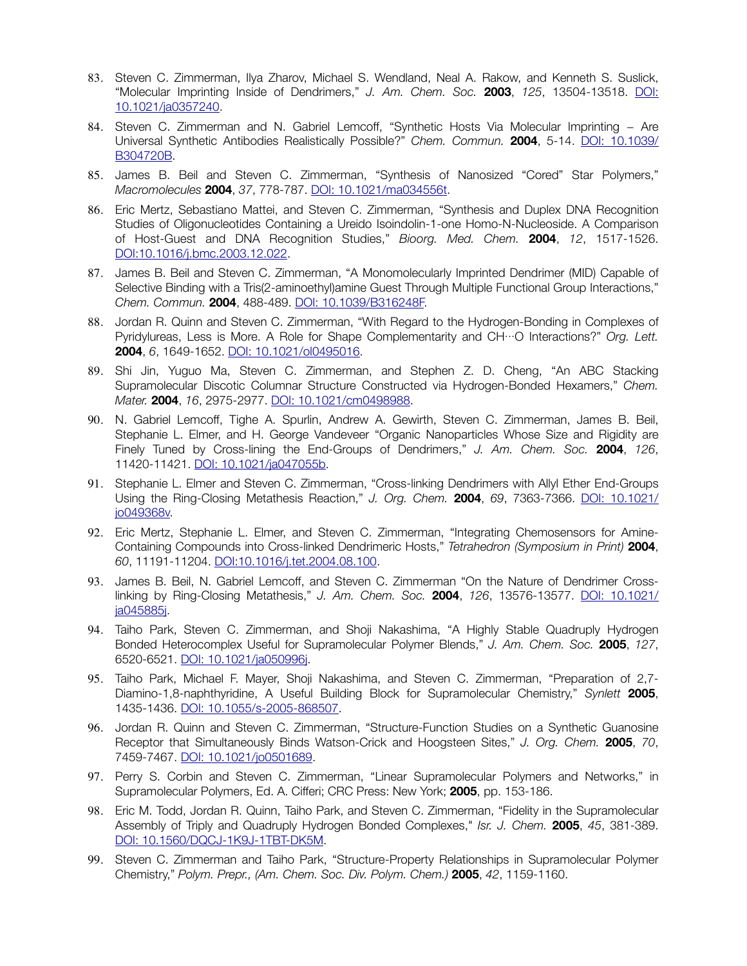- 83. Steven C. Zimmerman, Ilya Zharov, Michael S. Wendland, Neal A. Rakow, and Kenneth S. Suslick, "Molecular Imprinting Inside of Dendrimers," *J. Am. Chem. Soc.* **2003**, *125*, 13504-13518. [DOI:](http://pubs.acs.org/doi/abs/10.1021/ja0357240?journalCode=jacsat&quickLinkVolume=125&quickLinkPage=13504&selectedTab=citation&volume=125) [10.1021/ja0357240.](http://pubs.acs.org/doi/abs/10.1021/ja0357240?journalCode=jacsat&quickLinkVolume=125&quickLinkPage=13504&selectedTab=citation&volume=125)
- 84. Steven C. Zimmerman and N. Gabriel Lemcoff, "Synthetic Hosts Via Molecular Imprinting − Are Universal Synthetic Antibodies Realistically Possible?" *Chem. Commun.* **2004**, 5-14. [DOI: 10.1039/](http://pubs.rsc.org/en/content/articlelanding/2004/cc/b304720b%22%20%5Cl%20%22!divAbstract) [B304720B](http://pubs.rsc.org/en/content/articlelanding/2004/cc/b304720b%22%20%5Cl%20%22!divAbstract).
- 85. James B. Beil and Steven C. Zimmerman, "Synthesis of Nanosized "Cored" Star Polymers," *Macromolecules* **2004**, *37*, 778-787. [DOI: 10.1021/ma034556t](http://pubs.acs.org/doi/abs/10.1021/ma034556t).
- 86. Eric Mertz, Sebastiano Mattei, and Steven C. Zimmerman, "Synthesis and Duplex DNA Recognition Studies of Oligonucleotides Containing a Ureido Isoindolin-1-one Homo-N-Nucleoside. A Comparison of Host-Guest and DNA Recognition Studies," *Bioorg. Med. Chem.* **2004**, *12*, 1517-1526. [DOI:10.1016/j.bmc.2003.12.022.](http://www.sciencedire)
- 87. James B. Beil and Steven C. Zimmerman, "A Monomolecularly Imprinted Dendrimer (MID) Capable of Selective Binding with a Tris(2-aminoethyl)amine Guest Through Multiple Functional Group Interactions," *Chem. Commun.* **2004**, 488-489. [DOI: 10.1039/B316248F.](http://pubs.rsc.org/en/content/articlelanding/2004/cc/b316248f%22%20%5Cl%20%22!divAbstract)
- 88. Jordan R. Quinn and Steven C. Zimmerman, "With Regard to the Hydrogen-Bonding in Complexes of Pyridylureas, Less is More. A Role for Shape Complementarity and CH∙∙∙O Interactions?" *Org. Lett.*  **2004**, *6*, 1649-1652. [DOI: 10.1021/ol0495016](http://pubs.acs.org/doi/abs/10.1021/ol0495016).
- 89. Shi Jin, Yuguo Ma, Steven C. Zimmerman, and Stephen Z. D. Cheng, "An ABC Stacking Supramolecular Discotic Columnar Structure Constructed via Hydrogen-Bonded Hexamers," *Chem. Mater.* **2004**, *16*, 2975-2977. [DOI: 10.1021/cm0498988](http://pubs.acs.org/doi/abs/10.1021/cm0498988).
- 90. N. Gabriel Lemcoff, Tighe A. Spurlin, Andrew A. Gewirth, Steven C. Zimmerman, James B. Beil, Stephanie L. Elmer, and H. George Vandeveer "Organic Nanoparticles Whose Size and Rigidity are Finely Tuned by Cross-lining the End-Groups of Dendrimers," *J. Am. Chem. Soc.* **2004**, *126*, 11420-11421. [DOI: 10.1021/ja047055b](http://pubs.acs.org/doi/abs/10.1021/ja047055b).
- 91. Stephanie L. Elmer and Steven C. Zimmerman, "Cross-linking Dendrimers with Allyl Ether End-Groups Using the Ring-Closing Metathesis Reaction," *J. Org. Chem.* **2004**, *69*, 7363-7366. [DOI: 10.1021/](http://pubs.acs.org/doi/abs/10.1021/jo049368v) [jo049368v.](http://pubs.acs.org/doi/abs/10.1021/jo049368v)
- 92. Eric Mertz, Stephanie L. Elmer, and Steven C. Zimmerman, "Integrating Chemosensors for Amine-Containing Compounds into Cross-linked Dendrimeric Hosts," *Tetrahedron (Symposium in Print)* **2004**, *60*, 11191-11204. [DOI:10.1016/j.tet.2004.08.100.](http://www.sciencedirect.com/science/article/pii/S0040402004014802)
- 93. James B. Beil, N. Gabriel Lemcoff, and Steven C. Zimmerman "On the Nature of Dendrimer Crosslinking by Ring-Closing Metathesis," *J. Am. Chem. Soc.* **2004**, *126*, 13576-13577. [DOI: 10.1021/](http://pubs.acs.org/doi/abs/10.1021/ja045885j) [ja045885j.](http://pubs.acs.org/doi/abs/10.1021/ja045885j)
- 94. Taiho Park, Steven C. Zimmerman, and Shoji Nakashima, "A Highly Stable Quadruply Hydrogen Bonded Heterocomplex Useful for Supramolecular Polymer Blends," *J. Am. Chem. Soc.* **2005**, *127*, 6520-6521. [DOI: 10.1021/ja050996j](http://pubs.acs.org/doi/abs/10.1021/ja050996j).
- 95. Taiho Park, Michael F. Mayer, Shoji Nakashima, and Steven C. Zimmerman, "Preparation of 2,7- Diamino-1,8-naphthyridine, A Useful Building Block for Supramolecular Chemistry," *Synlett* **2005**, 1435-1436. [DOI: 10.1055/s-2005-868507.](https://www.thieme-connect.com/products/ejournals/abstract/10.1055/s-2005-868507)
- 96. Jordan R. Quinn and Steven C. Zimmerman, "Structure-Function Studies on a Synthetic Guanosine Receptor that Simultaneously Binds Watson-Crick and Hoogsteen Sites," *J. Org. Chem.* **2005**, *70*, 7459-7467. [DOI: 10.1021/jo0501689](http://pubs.acs.org/doi/abs/1).
- 97. Perry S. Corbin and Steven C. Zimmerman, "Linear Supramolecular Polymers and Networks," in Supramolecular Polymers, Ed. A. Cifferi; CRC Press: New York; **2005**, pp. 153-186.
- 98. Eric M. Todd, Jordan R. Quinn, Taiho Park, and Steven C. Zimmerman, "Fidelity in the Supramolecular Assembly of Triply and Quadruply Hydrogen Bonded Complexes," *Isr. J. Chem.* **2005**, *45*, 381-389. [DOI: 10.1560/DQCJ-1K9J-1TBT-DK5M](http://onlinelibrary.wiley.com/doi/10.1560/DQCJ-1K9J-1TBT-DK5M/abstract).
- 99. Steven C. Zimmerman and Taiho Park, "Structure-Property Relationships in Supramolecular Polymer Chemistry," *Polym. Prepr., (Am. Chem. Soc. Div. Polym. Chem.)* **2005**, *42*, 1159-1160.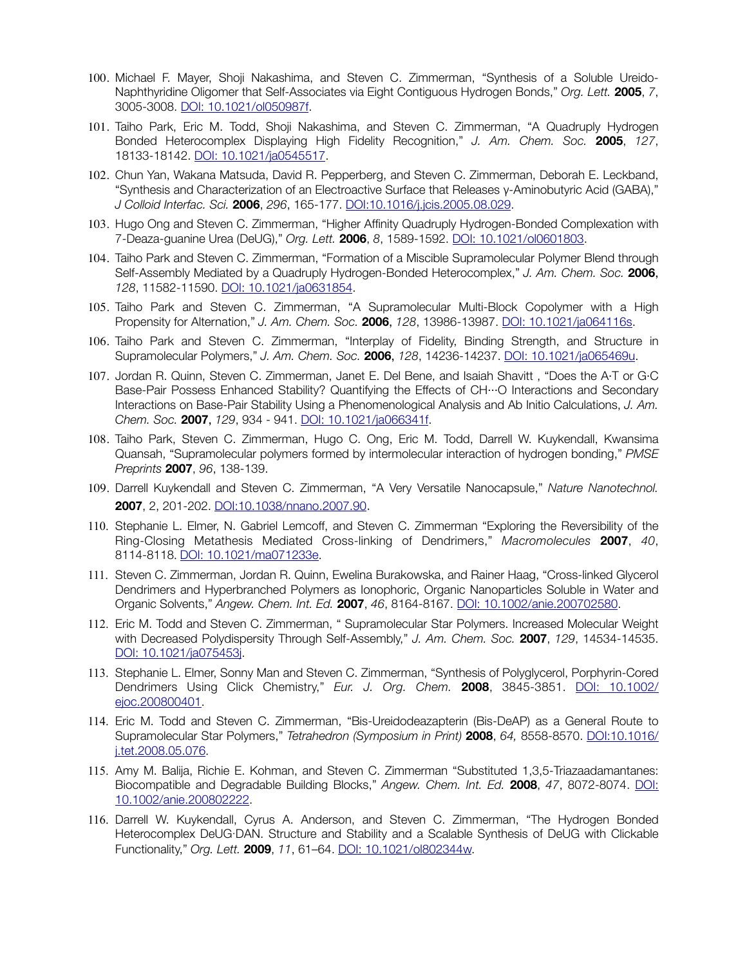- 100. Michael F. Mayer, Shoji Nakashima, and Steven C. Zimmerman, "Synthesis of a Soluble Ureido-Naphthyridine Oligomer that Self-Associates via Eight Contiguous Hydrogen Bonds," *Org. Lett.* **2005**, *7*, 3005-3008. [DOI: 10.1021/ol050987f](http://pubs.acs.org/doi/abs/10.1021/ol050987f).
- 101. Taiho Park, Eric M. Todd, Shoji Nakashima, and Steven C. Zimmerman, "A Quadruply Hydrogen Bonded Heterocomplex Displaying High Fidelity Recognition," *J. Am. Chem. Soc.* **2005**, *127*, 18133-18142. [DOI: 10.1021/ja0545517.](http://pubs.acs.org/doi/abs/10.1021/ja0545517)
- 102. Chun Yan, Wakana Matsuda, David R. Pepperberg, and Steven C. Zimmerman, Deborah E. Leckband, "Synthesis and Characterization of an Electroactive Surface that Releases γ-Aminobutyric Acid (GABA)," *J Colloid Interfac. Sci.* **2006**, *296*, 165-177. DOI:10.1016/j.jcis.2005.08.029.
- 103. Hugo Ong and Steven C. Zimmerman, "Higher Affinity Quadruply Hydrogen-Bonded Complexation with 7-Deaza-guanine Urea (DeUG)," *Org. Lett.* **2006**, *8*, 1589-1592. [DOI: 10.1021/ol0601803.](http://pubs.acs.org/doi/abs/10.1021/ol0601803)
- 104. Taiho Park and Steven C. Zimmerman, "Formation of a Miscible Supramolecular Polymer Blend through Self-Assembly Mediated by a Quadruply Hydrogen-Bonded Heterocomplex," *J. Am. Chem. Soc.* **2006**, *128*, 11582-11590. [DOI: 10.1021/ja0631854](http://pubs.acs.org/doi/abs/10.1021/ja0631854).
- 105. Taiho Park and Steven C. Zimmerman, "A Supramolecular Multi-Block Copolymer with a High Propensity for Alternation," *J. Am. Chem. Soc.* **2006**, *128*, 13986-13987. [DOI: 10.1021/ja064116s](http://pubs.acs.org/doi/abs/10.1021/ja064116s).
- 106. Taiho Park and Steven C. Zimmerman, "Interplay of Fidelity, Binding Strength, and Structure in Supramolecular Polymers," *J. Am. Chem. Soc.* **2006**, *128*, 14236-14237. [DOI: 10.1021/ja065469u.](http://pubs.acs.org/doi/abs/10.1021/ja065469u)
- 107. Jordan R. Quinn, Steven C. Zimmerman, Janet E. Del Bene, and Isaiah Shavitt , "Does the A·T or G·C Base-Pair Possess Enhanced Stability? Quantifying the Effects of CH···O Interactions and Secondary Interactions on Base-Pair Stability Using a Phenomenological Analysis and Ab Initio Calculations, *J. Am. Chem. Soc.* **2007**, *129*, 934 - 941. [DOI: 10.1021/ja066341f](http://pubs.acs.org/doi/abs/10.1021/ja066341f).
- 108. Taiho Park, Steven C. Zimmerman, Hugo C. Ong, Eric M. Todd, Darrell W. Kuykendall, Kwansima Quansah, "Supramolecular polymers formed by intermolecular interaction of hydrogen bonding," *PMSE Preprints* **2007**, *96*, 138-139.
- 109. Darrell Kuykendall and Steven C. Zimmerman, "A Very Versatile Nanocapsule," *Nature Nanotechnol.* **2007**, 2, 201-202. [DOI:10.1038/nnano.2007.90.](http://www.nature.com/nnano/journal/v2/n4/full/nnano.2007.90.html)
- 110. Stephanie L. Elmer, N. Gabriel Lemcoff, and Steven C. Zimmerman "Exploring the Reversibility of the Ring-Closing Metathesis Mediated Cross-linking of Dendrimers," *Macromolecules* **2007**, *40*, 8114-8118. [DOI: 10.1021/ma071233e](http://pubs.acs.org/doi/abs/10.1021/ma071233e).
- 111. Steven C. Zimmerman, Jordan R. Quinn, Ewelina Burakowska, and Rainer Haag, "Cross-linked Glycerol Dendrimers and Hyperbranched Polymers as Ionophoric, Organic Nanoparticles Soluble in Water and Organic Solvents," *Angew. Chem. Int. Ed.* **2007**, *46*, 8164-8167. [DOI: 10.1002/anie.200702580.](http://onlinelibrary)
- 112. Eric M. Todd and Steven C. Zimmerman, " Supramolecular Star Polymers. Increased Molecular Weight with Decreased Polydispersity Through Self-Assembly," *J. Am. Chem. Soc.* **2007**, *129*, 14534-14535. [DOI: 10.1021/ja075453j](http://pubs.acs.org/doi/abs/10.1021/ja075453j).
- 113. Stephanie L. Elmer, Sonny Man and Steven C. Zimmerman, "Synthesis of Polyglycerol, Porphyrin-Cored Dendrimers Using Click Chemistry," *Eur. J. Org. Chem.* **2008**, 3845-3851. [DOI: 10.1002/](http://onlinelibrary.wiley.com/doi/10.1002/ejoc.200800401/abstract) [ejoc.200800401](http://onlinelibrary.wiley.com/doi/10.1002/ejoc.200800401/abstract).
- 114. Eric M. Todd and Steven C. Zimmerman, "Bis-Ureidodeazapterin (Bis-DeAP) as a General Route to Supramolecular Star Polymers," *Tetrahedron (Symposium in Print)* **2008**, *64,* 8558-8570. [DOI:10.1016/](http://www.sciencedirect.com/science/article/pii/S0040402008009782) [j.tet.2008.05.076](http://www.sciencedirect.com/science/article/pii/S0040402008009782).
- 115. Amy M. Balija, Richie E. Kohman, and Steven C. Zimmerman "Substituted 1,3,5-Triazaadamantanes: Biocompatible and Degradable Building Blocks," *Angew. Chem. Int. Ed.* **2008**, *47*, 8072-8074. [DOI:](http://onlinelibrary.wiley.com/doi/10.1002/anie.200802222/full) [10.1002/anie.200802222](http://onlinelibrary.wiley.com/doi/10.1002/anie.200802222/full).
- 116. Darrell W. Kuykendall, Cyrus A. Anderson, and Steven C. Zimmerman, "The Hydrogen Bonded Heterocomplex DeUG∙DAN. Structure and Stability and a Scalable Synthesis of DeUG with Clickable Functionality," *Org. Lett.* **2009**, *11*, 61–64. [DOI: 10.1021/ol802344w.](http://pubs.acs.org/doi/abs/10.1021/ol802344w)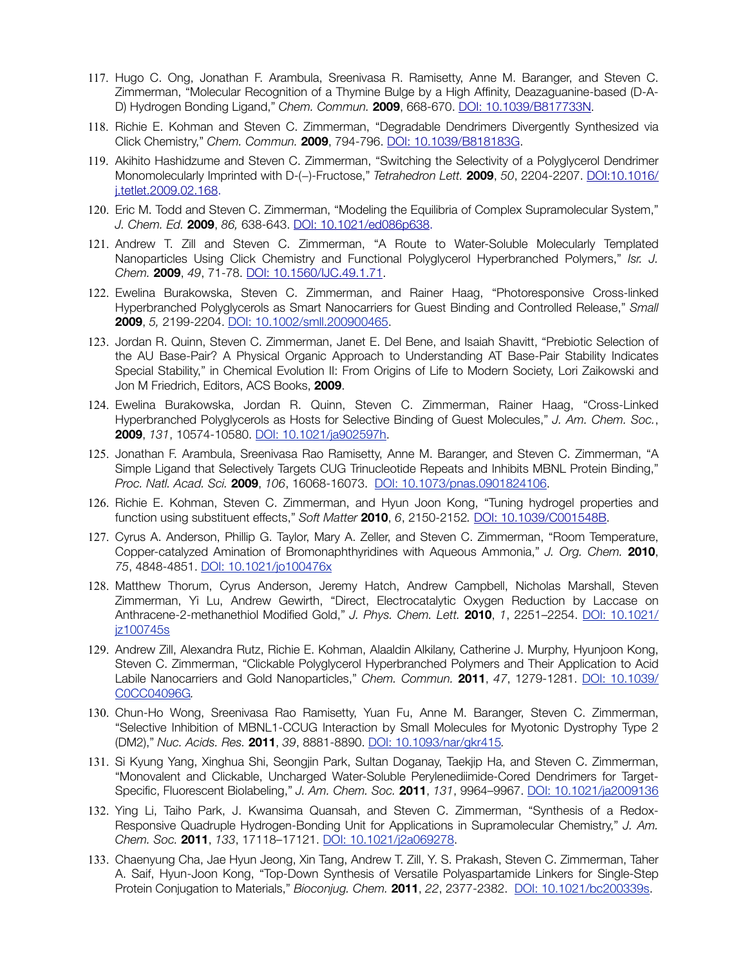- 117. Hugo C. Ong, Jonathan F. Arambula, Sreenivasa R. Ramisetty, Anne M. Baranger, and Steven C. Zimmerman, "Molecular Recognition of a Thymine Bulge by a High Affinity, Deazaguanine-based (D-A-D) Hydrogen Bonding Ligand," *Chem. Commun.* **2009**, 668-670. [DOI: 10.1039/B817733N](http://pubs.rsc.org/en/content/articlelanding).
- 118. Richie E. Kohman and Steven C. Zimmerman, "Degradable Dendrimers Divergently Synthesized via Click Chemistry," *Chem. Commun.* **2009**, 794-796. [DOI: 10.1039/B818183G](http://pubs.rsc.org/en/content/articlelan).
- 119. Akihito Hashidzume and Steven C. Zimmerman, "Switching the Selectivity of a Polyglycerol Dendrimer Monomolecularly Imprinted with D-(−)-Fructose," *Tetrahedron Lett.* **2009**, *50*, 2204-2207. DOI:10.1016/ j.tetlet.2009.02.168.
- 120. Eric M. Todd and Steven C. Zimmerman, "Modeling the Equilibria of Complex Supramolecular System," *J. Chem. Ed.* **2009**, *86,* 638-643. DOI: 10.1021/ed086p638.
- 121. Andrew T. Zill and Steven C. Zimmerman, "A Route to Water-Soluble Molecularly Templated Nanoparticles Using Click Chemistry and Functional Polyglycerol Hyperbranched Polymers," *Isr. J. Chem.* **2009**, *49*, 71-78. [DOI: 10.1560/IJC.49.1.71.](http://onlinelibrary.wiley.com/doi/10.1560/IJC.49.1.71/abstract)
- 122. Ewelina Burakowska, Steven C. Zimmerman, and Rainer Haag, "Photoresponsive Cross-linked Hyperbranched Polyglycerols as Smart Nanocarriers for Guest Binding and Controlled Release," *Small* **2009**, *5,* 2199-2204. [DOI: 10.1002/smll.200900465](http://onlinelibrary.wiley.com/doi/10.1002/smll.200900465/full).
- 123. Jordan R. Quinn, Steven C. Zimmerman, Janet E. Del Bene, and Isaiah Shavitt, "Prebiotic Selection of the AU Base-Pair? A Physical Organic Approach to Understanding AT Base-Pair Stability Indicates Special Stability," in Chemical Evolution II: From Origins of Life to Modern Society, Lori Zaikowski and Jon M Friedrich, Editors, ACS Books, **2009**.
- 124. Ewelina Burakowska, Jordan R. Quinn, Steven C. Zimmerman, Rainer Haag, "Cross-Linked Hyperbranched Polyglycerols as Hosts for Selective Binding of Guest Molecules," *J. Am. Chem. Soc.*, **2009**, *131*, 10574-10580. [DOI: 10.1021/ja902597h.](http://pubs.acs.org/doi/abs/10.1021/ja902597h)
- 125. Jonathan F. Arambula, Sreenivasa Rao Ramisetty, Anne M. Baranger, and Steven C. Zimmerman, "A Simple Ligand that Selectively Targets CUG Trinucleotide Repeats and Inhibits MBNL Protein Binding," *Proc. Natl. Acad. Sci.* **2009**, *106*, 16068-16073. [DOI: 10.1073/pnas.0901824106](http://www.pnas.org/content/early/2009/09/03/0901824106).
- 126. Richie E. Kohman, Steven C. Zimmerman, and Hyun Joon Kong, "Tuning hydrogel properties and function using substituent effects," *Soft Matter* **2010**, *6*, 2150-2152*.* [DOI: 10.1039/C001548B](http://pubs.rsc.org/en/content/).
- 127. Cyrus A. Anderson, Phillip G. Taylor, Mary A. Zeller, and Steven C. Zimmerman, "Room Temperature, Copper-catalyzed Amination of Bromonaphthyridines with Aqueous Ammonia," *J. Org. Chem.* **2010**, *75*, 4848-4851. [DOI: 10.1021/jo100476x](http://dx.doi.org/10.1021/jo100476x)
- 128. Matthew Thorum, Cyrus Anderson, Jeremy Hatch, Andrew Campbell, Nicholas Marshall, Steven Zimmerman, Yi Lu, Andrew Gewirth, "Direct, Electrocatalytic Oxygen Reduction by Laccase on Anthracene-2-methanethiol Modified Gold," *J. Phys. Chem. Lett.* **2010**, *1*, 2251–2254. [DOI: 10.1021/](http://dx.doi.org/10.1021/jz100745s) [jz100745s](http://dx.doi.org/10.1021/jz100745s)
- 129. Andrew Zill, Alexandra Rutz, Richie E. Kohman, Alaaldin Alkilany, Catherine J. Murphy, Hyunjoon Kong, Steven C. Zimmerman, "Clickable Polyglycerol Hyperbranched Polymers and Their Application to Acid Labile Nanocarriers and Gold Nanoparticles," *Chem. Commun.* **2011**, *47*, 1279-1281. [DOI: 10.1039/](http://pubs.rsc.org/en/content/articlelanding/2011/CC/c0cc04096g) [C0CC04096G](http://pubs.rsc.org/en/content/articlelanding/2011/CC/c0cc04096g)*.*
- 130. Chun-Ho Wong, Sreenivasa Rao Ramisetty, Yuan Fu, Anne M. Baranger, Steven C. Zimmerman, "Selective Inhibition of MBNL1-CCUG Interaction by Small Molecules for Myotonic Dystrophy Type 2 (DM2)," *Nuc. Acids. Res.* **2011**, *39*, 8881-8890. [DOI: 10.1093/nar/gkr415](http://nar.oxfordjournals.org/content/early/2011/07/17/nar.gkr415.full)*.*
- 131. Si Kyung Yang, Xinghua Shi, Seongjin Park, Sultan Doganay, Taekjip Ha, and Steven C. Zimmerman, "Monovalent and Clickable, Uncharged Water-Soluble Perylenediimide-Cored Dendrimers for Target-Specific, Fluorescent Biolabeling," *J. Am. Chem. Soc.* **2011**, *131*, 9964–9967. [DOI: 10.1021/ja2009136](http://pubs.acs.org/doi/pdf/10.1021/ja2009136)
- 132. Ying Li, Taiho Park, J. Kwansima Quansah, and Steven C. Zimmerman, "Synthesis of a Redox-Responsive Quadruple Hydrogen-Bonding Unit for Applications in Supramolecular Chemistry," *J. Am. Chem. Soc.* **2011**, *133*, 17118–17121. [DOI: 10.1021/j2a069278](http://pubs.acs.org/doi/abs/10.1021/ja2069278).
- 133. Chaenyung Cha, Jae Hyun Jeong, Xin Tang, Andrew T. Zill, Y. S. Prakash, Steven C. Zimmerman, Taher A. Saif, Hyun-Joon Kong, "Top-Down Synthesis of Versatile Polyaspartamide Linkers for Single-Step Protein Conjugation to Materials," *Bioconjug. Chem.* **2011**, *22*, 2377-2382. [DOI: 10.1021/bc200339s.](http://dx.doi.org/10.1021/bc200339s)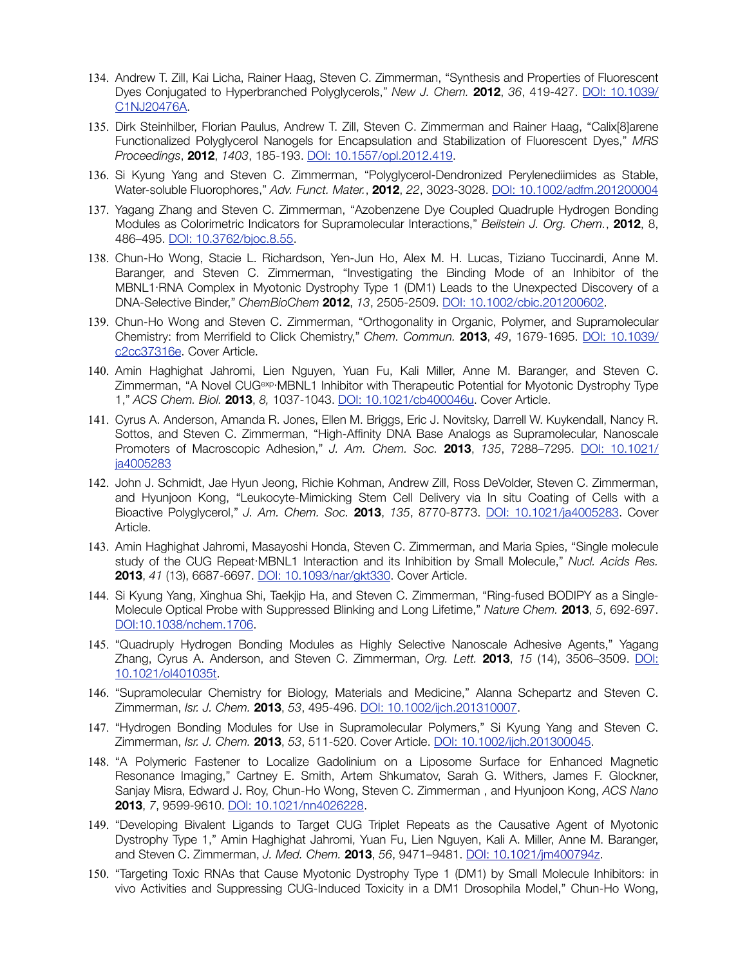- 134. Andrew T. Zill, Kai Licha, Rainer Haag, Steven C. Zimmerman, "Synthesis and Properties of Fluorescent Dyes Conjugated to Hyperbranched Polyglycerols," *New J. Chem.* **2012**, *36*, 419-427. [DOI: 10.1039/](http://pubs.rsc.org/en/Content/ArticleLanding/2012/NJ/c1nj20476a) [C1NJ20476A](http://pubs.rsc.org/en/Content/ArticleLanding/2012/NJ/c1nj20476a).
- 135. Dirk Steinhilber, Florian Paulus, Andrew T. Zill, Steven C. Zimmerman and Rainer Haag, "Calix[8]arene Functionalized Polyglycerol Nanogels for Encapsulation and Stabilization of Fluorescent Dyes," *MRS Proceedings*, **2012**, *1403*, 185-193. [DOI: 10.1557/opl.2012.419](http://journals.cambridge.org/action/displayAbstract?fromPage=online&aid=8499749).
- 136. Si Kyung Yang and Steven C. Zimmerman, "Polyglycerol-Dendronized Perylenediimides as Stable, Water-soluble Fluorophores," *Adv. Funct. Mater.*, **2012**, *22*, 3023-3028. [DOI: 10.1002/adfm.201200004](http://onlinelibrary.wiley.com/doi/10.1002/adfm.201200004/abstract)
- 137. Yagang Zhang and Steven C. Zimmerman, "Azobenzene Dye Coupled Quadruple Hydrogen Bonding Modules as Colorimetric Indicators for Supramolecular Interactions," *Beilstein J. Org. Chem.*, **2012**, 8, 486–495. [DOI: 10.3762/bjoc.8.55](http://www.beilstein-journals.org/bjoc/content/pdf/1860-5397-8-55.pdf).
- 138. Chun-Ho Wong, Stacie L. Richardson, Yen-Jun Ho, Alex M. H. Lucas, Tiziano Tuccinardi, Anne M. Baranger, and Steven C. Zimmerman, "Investigating the Binding Mode of an Inhibitor of the MBNL1⋅RNA Complex in Myotonic Dystrophy Type 1 (DM1) Leads to the Unexpected Discovery of a DNA-Selective Binder," *ChemBioChem* **2012**, *13*, 2505-2509. [DOI: 10.1002/cbic.201200602](http://onlinelibrary.wiley.com/doi/10.1002/cbic.201200602/abstract).
- 139. Chun-Ho Wong and Steven C. Zimmerman, "Orthogonality in Organic, Polymer, and Supramolecular Chemistry: from Merrifield to Click Chemistry," *Chem. Commun.* **2013**, *49*, 1679-1695. [DOI: 10.1039/](http://pubs.rsc.org/en/content/articlelanding/2012/cc/c2cc37316e) [c2cc37316e.](http://pubs.rsc.org/en/content/articlelanding/2012/cc/c2cc37316e) Cover Article.
- 140. Amin Haghighat Jahromi, Lien Nguyen, Yuan Fu, Kali Miller, Anne M. Baranger, and Steven C. Zimmerman, "A Novel CUGexp·MBNL1 Inhibitor with Therapeutic Potential for Myotonic Dystrophy Type 1," *ACS Chem. Biol.* **2013**, *8,* 1037-1043. [DOI: 10.1021/cb400046u.](http://pubs.acs.org/doi/abs/10.1021/cb400046u) Cover Article.
- 141. Cyrus A. Anderson, Amanda R. Jones, Ellen M. Briggs, Eric J. Novitsky, Darrell W. Kuykendall, Nancy R. Sottos, and Steven C. Zimmerman, "[High-Affinity DNA Base Analogs as Supramolecular, Nanoscale](http://pubs.acs.org/doi/abs/10.1021/ja4005283?prevSearch=%255BContrib%253A%2Bsteven%2BZimmerman%255D&searchHistoryKey=)  [Promoters of Macroscopic Adhesion](http://pubs.acs.org/doi/abs/10.1021/ja4005283?prevSearch=%255BContrib%253A%2Bsteven%2BZimmerman%255D&searchHistoryKey=)," *J. Am. Chem. Soc.* **2013**, *135*, 7288–7295. [DOI: 10.1021/](http://pubs.acs.org/doi/abs/10.1021/ja4005283) [ja4005283](http://pubs.acs.org/doi/abs/10.1021/ja4005283)
- 142. John J. Schmidt, Jae Hyun Jeong, Richie Kohman, Andrew Zill, Ross DeVolder, Steven C. Zimmerman, and Hyunjoon Kong, "Leukocyte-Mimicking Stem Cell Delivery via In situ Coating of Cells with a Bioactive Polyglycerol," *J. Am. Chem. Soc.* **2013**, *135*, 8770-8773. [DOI: 10.1021/ja4005283](http://dx.doi.org/10.1021/ja4005283). Cover Article.
- 143. Amin Haghighat Jahromi, Masayoshi Honda, Steven C. Zimmerman, and Maria Spies, "Single molecule study of the CUG Repeat⋅MBNL1 Interaction and its Inhibition by Small Molecule," *Nucl. Acids Res.* **2013**, *41* (13), 6687-6697. [DOI: 10.1093/nar/gkt330](http://nar.oxfordjournals.org/content/41/13/6687.full.pdf+html). Cover Article.
- 144. Si Kyung Yang, Xinghua Shi, Taekjip Ha, and Steven C. Zimmerman, "Ring-fused BODIPY as a Single-Molecule Optical Probe with Suppressed Blinking and Long Lifetime," *Nature Chem.* **2013**, *5*, 692-697. [DOI:10.1038/nchem.1706.](http://www.nature.com/nchem/journal/v5/n8/full/nchem.1706.html)
- 145. "Quadruply Hydrogen Bonding Modules as Highly Selective Nanoscale Adhesive Agents," Yagang Zhang, Cyrus A. Anderson, and Steven C. Zimmerman, *Org. Lett.* **2013**, *15* (14), 3506–3509. [DOI:](http://pubs.acs.org/doi/abs/10.1021/ol401035t) [10.1021/ol401035t.](http://pubs.acs.org/doi/abs/10.1021/ol401035t)
- 146. "Supramolecular Chemistry for Biology, Materials and Medicine," Alanna Schepartz and Steven C. Zimmerman, *Isr. J. Chem.* **2013**, *53*, 495-496. DOI: [10.1002/ijch.201310007](http://onlinelibrary.wiley.com/doi/10.1002/ijch.201310007/full).
- 147. "Hydrogen Bonding Modules for Use in Supramolecular Polymers," Si Kyung Yang and Steven C. Zimmerman, *Isr. J. Chem.* **2013**, *53*, 511-520. Cover Article. DOI: [10.1002/ijch.201300045](http://onlinelibrary.wiley.com/doi/10.1002/ijch.201300045/abstract).
- 148. "A Polymeric Fastener to Localize Gadolinium on a Liposome Surface for Enhanced Magnetic Resonance Imaging," Cartney E. Smith, Artem Shkumatov, Sarah G. Withers, James F. Glockner, Sanjay Misra, Edward J. Roy, Chun-Ho Wong, Steven C. Zimmerman , and Hyunjoon Kong, *ACS Nano* **2013**, *7*, 9599-9610. [DOI: 10.1021/nn4026228](http://pubs.acs.org/doi/abs/10.1021/nn4026228).
- 149. "Developing Bivalent Ligands to Target CUG Triplet Repeats as the Causative Agent of Myotonic Dystrophy Type 1," Amin Haghighat Jahromi, Yuan Fu, Lien Nguyen, Kali A. Miller, Anne M. Baranger, and Steven C. Zimmerman, *J. Med. Chem.* **2013**, *56*, 9471–9481. [DOI: 10.1021/jm400794z.](http://dx.doi.org/10.1021/jm400794z)
- 150. "Targeting Toxic RNAs that Cause Myotonic Dystrophy Type 1 (DM1) by Small Molecule Inhibitors: in vivo Activities and Suppressing CUG-Induced Toxicity in a DM1 Drosophila Model," Chun-Ho Wong,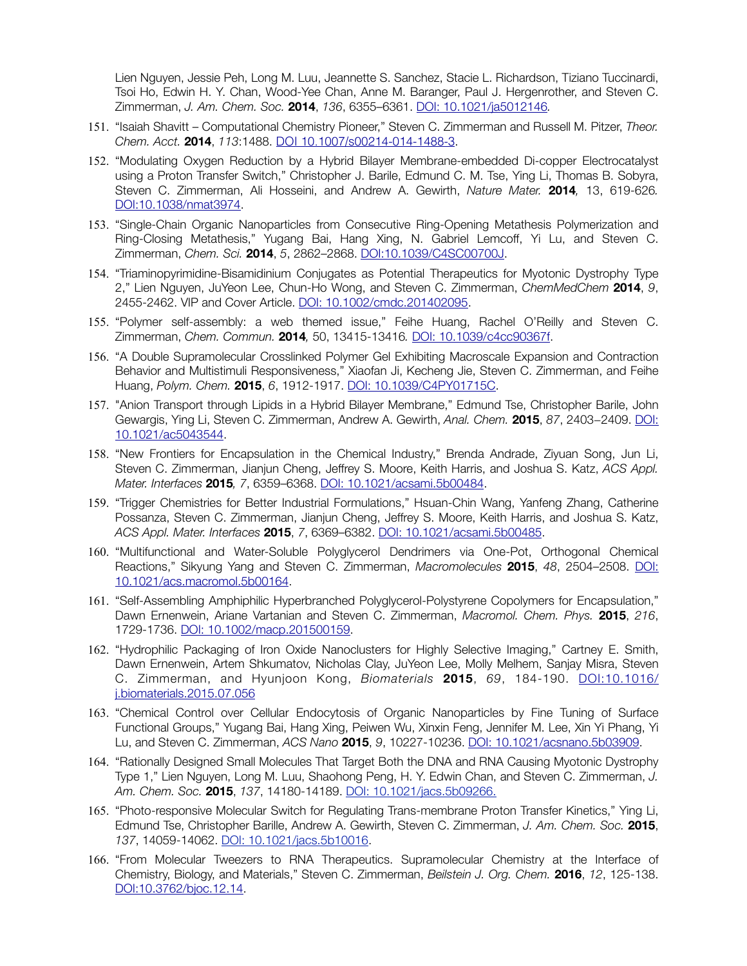Lien Nguyen, Jessie Peh, Long M. Luu, Jeannette S. Sanchez, Stacie L. Richardson, Tiziano Tuccinardi, Tsoi Ho, Edwin H. Y. Chan, Wood-Yee Chan, Anne M. Baranger, Paul J. Hergenrother, and Steven C. Zimmerman, *J. Am. Chem. Soc.* **2014**, *136*, 6355–6361. [DOI: 10.1021/ja5012146](http://dx.doi.org/10.1021/ja5012146)*.*

- 151. "Isaiah Shavitt Computational Chemistry Pioneer," Steven C. Zimmerman and Russell M. Pitzer, *Theor. Chem. Acct.* **2014**, *113*:1488. [DOI 10.1007/s00214-014-1488-3](http://www.google.com/url?sa=t&rct=j&q=&esrc=s&source=web&cd=1&ved=0CCgQFjAA&url=http://link.springer.com/content/pdf/10.1007/s00214-014-1488-3.pdf&ei=MGRiU7TtO82yyATa1YCYAw&usg=AFQjCNERB49p-3QpnBosJLNf38MyFWwwmQ&bvm=bv.65636070,d.aWw).
- 152. "Modulating Oxygen Reduction by a Hybrid Bilayer Membrane-embedded Di-copper Electrocatalyst using a Proton Transfer Switch," Christopher J. Barile, Edmund C. M. Tse, Ying Li, Thomas B. Sobyra, Steven C. Zimmerman, Ali Hosseini, and Andrew A. Gewirth, *Nature Mater.* **2014***,* 13, 619-626*.* [DOI:10.1038/nmat3974](http://www.nature.com/nmat/journal/vaop/ncurrent/pdf/nmat3974.pdf).
- 153. "Single-Chain Organic Nanoparticles from Consecutive Ring-Opening Metathesis Polymerization and Ring-Closing Metathesis," Yugang Bai, Hang Xing, N. Gabriel Lemcoff, Yi Lu, and Steven C. Zimmerman, *Chem. Sci.* **2014**, *5*, 2862–2868. [DOI:10.1039/C4SC00700J](http://pubs.rsc.org/en/content/articlelanding/2014/sc/c4sc00700j#!divAbstract).
- 154. "Triaminopyrimidine-Bisamidinium Conjugates as Potential Therapeutics for Myotonic Dystrophy Type 2," Lien Nguyen, JuYeon Lee, Chun-Ho Wong, and Steven C. Zimmerman, *ChemMedChem* **2014**, *9*, 2455-2462. VIP and Cover Article. [DOI: 10.1002/cmdc.201402095.](http://onlinelibrary.wiley.com/doi/10.1002/cmdc.201402095/abstract)
- 155. "Polymer self-assembly: a web themed issue," Feihe Huang, Rachel O'Reilly and Steven C. Zimmerman, *Chem. Commun.* **2014***,* 50, 13415-13416*.* [DOI: 10.1039/c4cc90367f.](http://www.apple.com)
- 156. "A Double Supramolecular Crosslinked Polymer Gel Exhibiting Macroscale Expansion and Contraction Behavior and Multistimuli Responsiveness," Xiaofan Ji, Kecheng Jie, Steven C. Zimmerman, and Feihe Huang, *Polym. Chem.* **2015**, *6*, 1912-1917. [DOI: 10.1039/C4PY01715C](http://pubs.rsc.org/en/Content/ArticleLanding/2015/PY/c4py01715c#!divAbstract).
- 157. "Anion Transport through Lipids in a Hybrid Bilayer Membrane," Edmund Tse, Christopher Barile, John Gewargis, Ying Li, Steven C. Zimmerman, Andrew A. Gewirth, *Anal. Chem.* **2015**, *87*, 2403−2409. [DOI:](http://dx.doi.org/10.1021/ac5043544) [10.1021/ac5043544](http://dx.doi.org/10.1021/ac5043544).
- 158. "New Frontiers for Encapsulation in the Chemical Industry," Brenda Andrade, Ziyuan Song, Jun Li, Steven C. Zimmerman, Jianjun Cheng, Jeffrey S. Moore, Keith Harris, and Joshua S. Katz, *ACS Appl. Mater. Interfaces* **2015***, 7*, 6359–6368. [DOI: 10.1021/acsami.5b00484.](http://pubs.acs.org/doi/abs/10.1021/acsami.5b00484)
- 159. "Trigger Chemistries for Better Industrial Formulations," Hsuan-Chin Wang, Yanfeng Zhang, Catherine Possanza, Steven C. Zimmerman, Jianjun Cheng, Jeffrey S. Moore, Keith Harris, and Joshua S. Katz, *ACS Appl. Mater. Interfaces* **2015**, *7*, 6369–6382. [DOI: 10.1021/acsami.5b00485](http://pubs.acs.org/doi/abs/10.1021/acsami.5b00485).
- 160. "Multifunctional and Water-Soluble Polyglycerol Dendrimers via One-Pot, Orthogonal Chemical Reactions," Sikyung Yang and Steven C. Zimmerman, *Macromolecules* **2015**, *48*, 2504–2508. [DOI:](http://pubs.acs.org/doi/abs/10.1021/acs.macromol.5b00164) [10.1021/acs.macromol.5b00164.](http://pubs.acs.org/doi/abs/10.1021/acs.macromol.5b00164)
- 161. "Self-Assembling Amphiphilic Hyperbranched Polyglycerol-Polystyrene Copolymers for Encapsulation," Dawn Ernenwein, Ariane Vartanian and Steven C. Zimmerman, *Macromol. Chem. Phys.* **2015**, *216*, 1729-1736. DOI: [10.1002/macp.201500159](http://dx.doi.org/10.1002/macp.201500159).
- 162. "Hydrophilic Packaging of Iron Oxide Nanoclusters for Highly Selective Imaging," Cartney E. Smith, Dawn Ernenwein, Artem Shkumatov, Nicholas Clay, JuYeon Lee, Molly Melhem, Sanjay Misra, Steven C. Zimmerman, and Hyunjoon Kong, *Biomaterials* **2015**, *69*, 184-190. [DOI:10.1016/](http://dx.doi.org/10.1016/j.biomaterials.2015.07.056) [j.biomaterials.2015.07.056](http://dx.doi.org/10.1016/j.biomaterials.2015.07.056)
- 163. "Chemical Control over Cellular Endocytosis of Organic Nanoparticles by Fine Tuning of Surface Functional Groups," Yugang Bai, Hang Xing, Peiwen Wu, Xinxin Feng, Jennifer M. Lee, Xin Yi Phang, Yi Lu, and Steven C. Zimmerman, *ACS Nano* **2015**, *9*, 10227-10236. [DOI: 10.1021/acsnano.5b03909](http://dx.doi.org/10.1021/acsnano.5b03909).
- 164. "Rationally Designed Small Molecules That Target Both the DNA and RNA Causing Myotonic Dystrophy Type 1," Lien Nguyen, Long M. Luu, Shaohong Peng, H. Y. Edwin Chan, and Steven C. Zimmerman, *J. Am. Chem. Soc.* **2015**, *137*, 14180-14189. [DOI: 10.1021/jacs.5b09266.](http://pubs.acs.org/doi/abs/10.1021/jacs.5b09266)
- 165. "Photo-responsive Molecular Switch for Regulating Trans-membrane Proton Transfer Kinetics," Ying Li, Edmund Tse, Christopher Barille, Andrew A. Gewirth, Steven C. Zimmerman, *J. Am. Chem. Soc.* **2015**, *137*, 14059-14062. [DOI: 10.1021/jacs.5b10016](http://pubs.acs.org/doi/abs/10.1021/jacs.5b10016).
- 166. "From Molecular Tweezers to RNA Therapeutics. Supramolecular Chemistry at the Interface of Chemistry, Biology, and Materials," Steven C. Zimmerman, *Beilstein J. Org. Chem.* **2016**, *12*, 125-138. [DOI:10.3762/bjoc.12.14](http://www.beilstein-journals.org/bjoc/single/articleFullText.htm?publicId=1860-5397-12-14).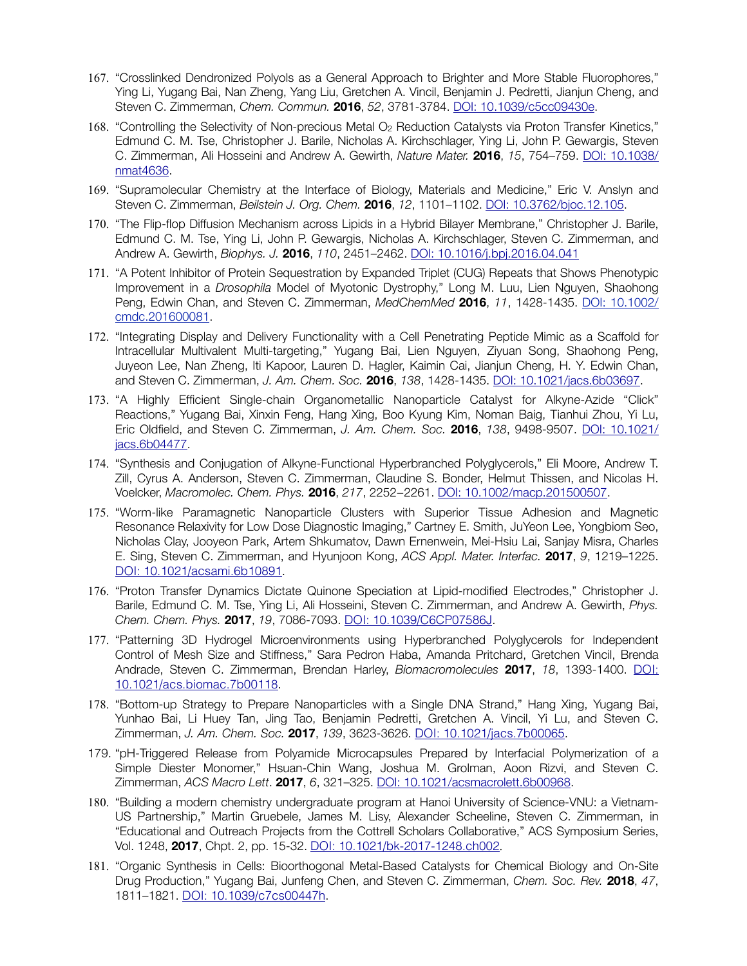- 167. "Crosslinked Dendronized Polyols as a General Approach to Brighter and More Stable Fluorophores," Ying Li, Yugang Bai, Nan Zheng, Yang Liu, Gretchen A. Vincil, Benjamin J. Pedretti, Jianjun Cheng, and Steven C. Zimmerman, *Chem. Commun.* **2016**, *52*, 3781-3784. [DOI: 10.1039/c5cc09430e](http://pubs.rsc.org/en/content/articlehtml/2016/cc/c5cc09430e).
- 168. "Controlling the Selectivity of Non-precious Metal O2 Reduction Catalysts via Proton Transfer Kinetics," Edmund C. M. Tse, Christopher J. Barile, Nicholas A. Kirchschlager, Ying Li, John P. Gewargis, Steven C. Zimmerman, Ali Hosseini and Andrew A. Gewirth, *Nature Mater.* **2016**, *15*, 754–759. [DOI: 10.1038/](http://dx.doi.org/10.1038/nmat4636) [nmat4636.](http://dx.doi.org/10.1038/nmat4636)
- 169. "Supramolecular Chemistry at the Interface of Biology, Materials and Medicine," Eric V. Anslyn and Steven C. Zimmerman, *Beilstein J. Org. Chem.* **2016**, *12*, 1101–1102. [DOI: 10.3762/bjoc.12.105.](http://www.beilstein-journals.org/bjoc/single/articleFullText.htm?publicId=1860-5397-12-105)
- 170. "The Flip-flop Diffusion Mechanism across Lipids in a Hybrid Bilayer Membrane," Christopher J. Barile, Edmund C. M. Tse, Ying Li, John P. Gewargis, Nicholas A. Kirchschlager, Steven C. Zimmerman, and Andrew A. Gewirth, *Biophys. J.* **2016**, *110*, 2451–2462. [DOI: 10.1016/j.bpj.2016.04.041](http://www.sciencedirect.com/science/article/pii/S0006349516302442)
- 171. "A Potent Inhibitor of Protein Sequestration by Expanded Triplet (CUG) Repeats that Shows Phenotypic Improvement in a *Drosophila* Model of Myotonic Dystrophy," Long M. Luu, Lien Nguyen, Shaohong Peng, Edwin Chan, and Steven C. Zimmerman, *MedChemMed* **2016**, *11*, 1428-1435. DOI: [10.1002/](http://dx.doi.org/10.1002/cmdc.201600081) [cmdc.201600081.](http://dx.doi.org/10.1002/cmdc.201600081)
- 172. "Integrating Display and Delivery Functionality with a Cell Penetrating Peptide Mimic as a Scaffold for Intracellular Multivalent Multi-targeting," Yugang Bai, Lien Nguyen, Ziyuan Song, Shaohong Peng, Juyeon Lee, Nan Zheng, Iti Kapoor, Lauren D. Hagler, Kaimin Cai, Jianjun Cheng, H. Y. Edwin Chan, and Steven C. Zimmerman, *J. Am. Chem. Soc.* **2016**, *138*, 1428-1435. [DOI: 10.1021/jacs.6b03697.](http://dx.doi.org/10.1021/jacs.6b03697)
- 173. "A Highly Efficient Single-chain Organometallic Nanoparticle Catalyst for Alkyne-Azide "Click" Reactions," Yugang Bai, Xinxin Feng, Hang Xing, Boo Kyung Kim, Noman Baig, Tianhui Zhou, Yi Lu, Eric Oldfield, and Steven C. Zimmerman, *J. Am. Chem. Soc.* **2016**, *138*, 9498-9507. [DOI: 10.1021/](http://dx.doi.org/10.1021/jacs.6b04477) [jacs.6b04477](http://dx.doi.org/10.1021/jacs.6b04477).
- 174. "Synthesis and Conjugation of Alkyne-Functional Hyperbranched Polyglycerols," Eli Moore, Andrew T. Zill, Cyrus A. Anderson, Steven C. Zimmerman, Claudine S. Bonder, Helmut Thissen, and Nicolas H. Voelcker, *Macromolec. Chem. Phys.* **2016**, *217*, 2252−2261. DOI: [10.1002/macp.201500507.](http://onlinelibrary.wiley.com/doi/10.1002/macp.201500507/abstract)
- 175. "Worm-like Paramagnetic Nanoparticle Clusters with Superior Tissue Adhesion and Magnetic Resonance Relaxivity for Low Dose Diagnostic Imaging," Cartney E. Smith, JuYeon Lee, Yongbiom Seo, Nicholas Clay, Jooyeon Park, Artem Shkumatov, Dawn Ernenwein, Mei-Hsiu Lai, Sanjay Misra, Charles E. Sing, Steven C. Zimmerman, and Hyunjoon Kong, *ACS Appl. Mater. Interfac.* **2017**, *9*, 1219–1225. [DOI: 10.1021/acsami.6b10891](http://dx.doi.org/10.1021/acsami.6b10891).
- 176. "Proton Transfer Dynamics Dictate Quinone Speciation at Lipid-modified Electrodes," Christopher J. Barile, Edmund C. M. Tse, Ying Li, Ali Hosseini, Steven C. Zimmerman, and Andrew A. Gewirth, *Phys. Chem. Chem. Phys.* **2017**, *19*, 7086-7093. [DOI: 10.1039/C6CP07586J](http://dx.doi.org/10.1039/C6CP07586J).
- 177. "Patterning 3D Hydrogel Microenvironments using Hyperbranched Polyglycerols for Independent Control of Mesh Size and Stiffness," Sara Pedron Haba, Amanda Pritchard, Gretchen Vincil, Brenda Andrade, Steven C. Zimmerman, Brendan Harley, *Biomacromolecules* **2017**, *18*, 1393-1400. [DOI:](http://dx.doi.org/10.1021/acs.biomac.7b00118) [10.1021/acs.biomac.7b00118](http://dx.doi.org/10.1021/acs.biomac.7b00118).
- 178. "Bottom-up Strategy to Prepare Nanoparticles with a Single DNA Strand," Hang Xing, Yugang Bai, Yunhao Bai, Li Huey Tan, Jing Tao, Benjamin Pedretti, Gretchen A. Vincil, Yi Lu, and Steven C. Zimmerman, *J. Am. Chem. Soc.* **2017**, *139*, 3623-3626. [DOI: 10.1021/jacs.7b00065](http://dx.doi.org/10.1021/jacs.7b00065).
- 179. "pH-Triggered Release from Polyamide Microcapsules Prepared by Interfacial Polymerization of a Simple Diester Monomer," Hsuan-Chin Wang, Joshua M. Grolman, Aoon Rizvi, and Steven C. Zimmerman, *ACS Macro Lett*. **2017**, *6*, 321–325. [DOI: 10.1021/acsmacrolett.6b00968.](http://dx.doi.org/10.1021/acsmacrolett.6b00968)
- 180. "Building a modern chemistry undergraduate program at Hanoi University of Science-VNU: a Vietnam-US Partnership," Martin Gruebele, James M. Lisy, Alexander Scheeline, Steven C. Zimmerman, in "Educational and Outreach Projects from the Cottrell Scholars Collaborative," ACS Symposium Series, Vol. 1248, **2017**, Chpt. 2, pp. 15-32. [DOI: 10.1021/bk-2017-1248.ch002](http://dx.doi.org/DOI:%2010.1021/bk-2017-1248.ch002).
- 181. "Organic Synthesis in Cells: Bioorthogonal Metal-Based Catalysts for Chemical Biology and On-Site Drug Production," Yugang Bai, Junfeng Chen, and Steven C. Zimmerman, *Chem. Soc. Rev.* **2018**, *47*, 1811–1821. [DOI: 10.1039/c7cs00447h](http://dx.doi.org/10.1039/c7cs00447h).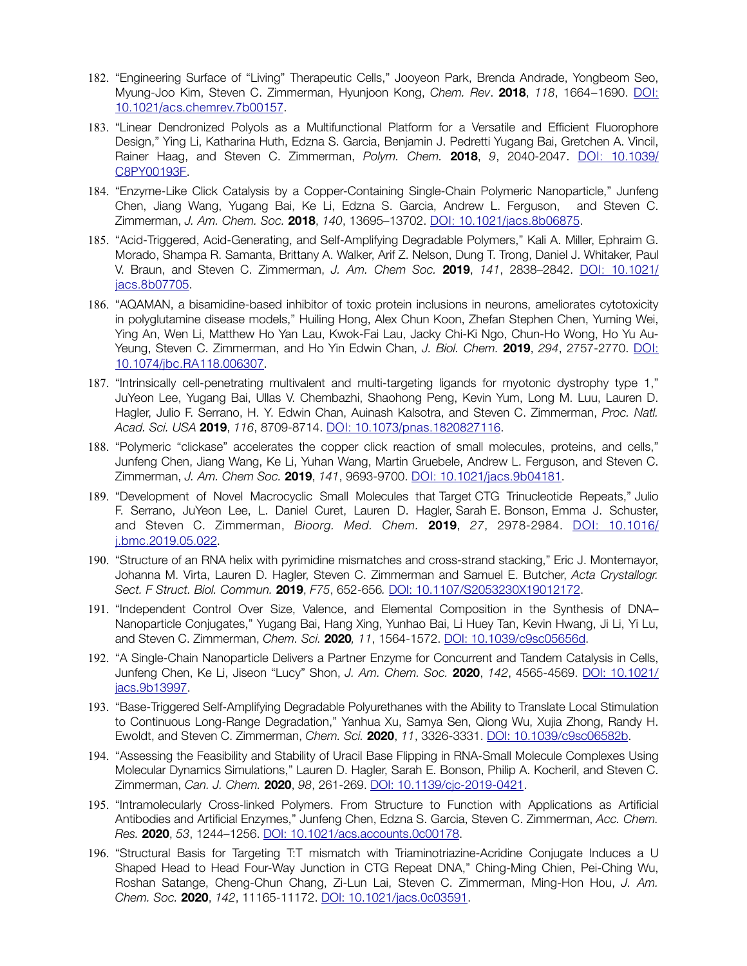- 182. "Engineering Surface of "Living" Therapeutic Cells," Jooyeon Park, Brenda Andrade, Yongbeom Seo, Myung-Joo Kim, Steven C. Zimmerman, Hyunjoon Kong, *Chem. Rev*. **2018**, *118*, 1664−1690. [DOI:](http://dx.doi.org/10.1021/acs.chemrev.7b00157) [10.1021/acs.chemrev.7b00157](http://dx.doi.org/10.1021/acs.chemrev.7b00157).
- 183. "Linear Dendronized Polyols as a Multifunctional Platform for a Versatile and Efficient Fluorophore Design," Ying Li, Katharina Huth, Edzna S. Garcia, Benjamin J. Pedretti Yugang Bai, Gretchen A. Vincil, Rainer Haag, and Steven C. Zimmerman, *Polym. Chem.* **2018**, *9*, 2040-2047. [DOI: 10.1039/](http://dx.doi.org/10.1039/C8PY00193F) [C8PY00193F](http://dx.doi.org/10.1039/C8PY00193F).
- 184. "Enzyme-Like Click Catalysis by a Copper-Containing Single-Chain Polymeric Nanoparticle," Junfeng Chen, Jiang Wang, Yugang Bai, Ke Li, Edzna S. Garcia, Andrew L. Ferguson, and Steven C. Zimmerman, *J. Am. Chem. Soc.* **2018**, *140*, 13695–13702. [DOI: 10.1021/jacs.8b06875](http://dx.doi.org/10.1021/jacs.8b06875).
- 185. "Acid-Triggered, Acid-Generating, and Self-Amplifying Degradable Polymers," Kali A. Miller, Ephraim G. Morado, Shampa R. Samanta, Brittany A. Walker, Arif Z. Nelson, Dung T. Trong, Daniel J. Whitaker, Paul V. Braun, and Steven C. Zimmerman, *J. Am. Chem Soc.* **2019**, *141*, 2838–2842. [DOI: 10.1021/](http://dx.doi.org/10.1021/jacs.8b07705) [jacs.8b07705](http://dx.doi.org/10.1021/jacs.8b07705).
- 186. "AQAMAN, a bisamidine-based inhibitor of toxic protein inclusions in neurons, ameliorates cytotoxicity in polyglutamine disease models," Huiling Hong, Alex Chun Koon, Zhefan Stephen Chen, Yuming Wei, Ying An, Wen Li, Matthew Ho Yan Lau, Kwok-Fai Lau, Jacky Chi-Ki Ngo, Chun-Ho Wong, Ho Yu Au-Yeung, Steven C. Zimmerman, and Ho Yin Edwin Chan, *J. Biol. Chem.* **2019**, *294*, 2757-2770. [DOI:](http://dx.doi.org/10.1074/jbc.RA118.006307) [10.1074/jbc.RA118.006307](http://dx.doi.org/10.1074/jbc.RA118.006307).
- 187. "Intrinsically cell-penetrating multivalent and multi-targeting ligands for myotonic dystrophy type 1," JuYeon Lee, Yugang Bai, Ullas V. Chembazhi, Shaohong Peng, Kevin Yum, Long M. Luu, Lauren D. Hagler, Julio F. Serrano, H. Y. Edwin Chan, Auinash Kalsotra, and Steven C. Zimmerman, *Proc. Natl. Acad. Sci. USA* **2019**, *116*, 8709-8714. [DOI: 10.1073/pnas.1820827116](https://doi.org/10.1073/pnas.1820827116).
- 188. "Polymeric "clickase" accelerates the copper click reaction of small molecules, proteins, and cells," Junfeng Chen, Jiang Wang, Ke Li, Yuhan Wang, Martin Gruebele, Andrew L. Ferguson, and Steven C. Zimmerman, *J. Am. Chem Soc.* **2019**, *141*, 9693-9700. [DOI: 10.1021/jacs.9b04181](https://doi.org/10.1021/jacs.9b04181).
- 189. "Development of Novel Macrocyclic Small Molecules that Target CTG Trinucleotide Repeats," Julio F. Serrano, JuYeon Lee, L. Daniel Curet, Lauren D. Hagler, Sarah E. Bonson, Emma J. Schuster, and Steven C. Zimmerman, *Bioorg. Med. Chem.* **2019**, *27*, 2978-2984. [DOI: 10.1016/](https://doi.org/10.1016/j.bmc.2019.05.022) [j.bmc.2019.05.022](https://doi.org/10.1016/j.bmc.2019.05.022).
- 190. "Structure of an RNA helix with pyrimidine mismatches and cross-strand stacking," Eric J. Montemayor, Johanna M. Virta, Lauren D. Hagler, Steven C. Zimmerman and Samuel E. Butcher, *Acta Crystallogr. Sect. F Struct. Biol. Commun.* **2019**, *F75*, 652-656*.* [DOI: 10.1107/S2053230X19012172.](https://doi.org/10.1107/S2053230X19012172)
- 191. "Independent Control Over Size, Valence, and Elemental Composition in the Synthesis of DNA– Nanoparticle Conjugates," Yugang Bai, Hang Xing, Yunhao Bai, Li Huey Tan, Kevin Hwang, Ji Li, Yi Lu, and Steven C. Zimmerman, *Chem. Sci.* **2020***, 11*, 1564-1572. [DOI: 10.1039/c9sc05656d](https://doi.org/10.1039/c9sc05656d).
- 192. "A Single-Chain Nanoparticle Delivers a Partner Enzyme for Concurrent and Tandem Catalysis in Cells, Junfeng Chen, Ke Li, Jiseon "Lucy" Shon, *J. Am. Chem. Soc.* **2020**, *142*, 4565-4569. [DOI: 10.1021/](https://doi.org/10.1021/jacs.9b13997) [jacs.9b13997](https://doi.org/10.1021/jacs.9b13997).
- 193. "Base-Triggered Self-Amplifying Degradable Polyurethanes with the Ability to Translate Local Stimulation to Continuous Long-Range Degradation," Yanhua Xu, Samya Sen, Qiong Wu, Xujia Zhong, Randy H. Ewoldt, and Steven C. Zimmerman, *Chem. Sci.* **2020**, *11*, 3326-3331. [DOI: 10.1039/c9sc06582b](https://doi.org/10.1039/c9sc06582b).
- 194. "Assessing the Feasibility and Stability of Uracil Base Flipping in RNA-Small Molecule Complexes Using Molecular Dynamics Simulations," Lauren D. Hagler, Sarah E. Bonson, Philip A. Kocheril, and Steven C. Zimmerman, *Can. J. Chem.* **2020**, *98*, 261-269. [DOI: 10.1139/cjc-2019-0421](https://doi.org/10.1139/cjc-2019-0421).
- 195. "Intramolecularly Cross-linked Polymers. From Structure to Function with Applications as Artificial Antibodies and Artificial Enzymes," Junfeng Chen, Edzna S. Garcia, Steven C. Zimmerman, *Acc. Chem. Res.* **2020**, *53*, 1244–1256. [DOI: 10.1021/acs.accounts.0c00178](https://doi.org/10.1021/acs.accounts.0c00178).
- 196. "Structural Basis for Targeting T:T mismatch with Triaminotriazine-Acridine Conjugate Induces a U Shaped Head to Head Four-Way Junction in CTG Repeat DNA," Ching-Ming Chien, Pei-Ching Wu, Roshan Satange, Cheng-Chun Chang, Zi-Lun Lai, Steven C. Zimmerman, Ming-Hon Hou, *J. Am. Chem. Soc.* **2020**, *142*, 11165-11172. [DOI: 10.1021/jacs.0c03591](https://dx.doi.org/10.1021/jacs.0c03591).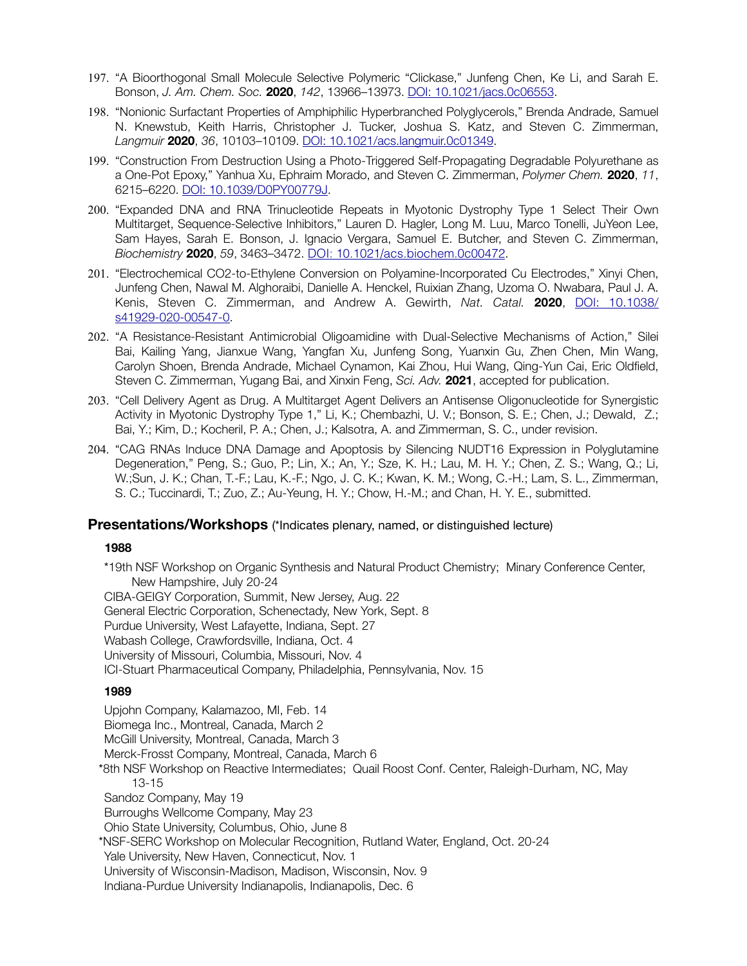- 197. "A Bioorthogonal Small Molecule Selective Polymeric "Clickase," Junfeng Chen, Ke Li, and Sarah E. Bonson, *J. Am. Chem. Soc.* **2020**, *142*, 13966–13973. [DOI: 10.1021/jacs.0c06553](https://doi.org/10.1021/jacs.0c06553).
- 198. "Nonionic Surfactant Properties of Amphiphilic Hyperbranched Polyglycerols," Brenda Andrade, Samuel N. Knewstub, Keith Harris, Christopher J. Tucker, Joshua S. Katz, and Steven C. Zimmerman, *Langmuir* **2020**, *36*, 10103–10109. [DOI: 10.1021/acs.langmuir.0c01349.](https://doi.org/10.1021/acs.langmuir.0c01349)
- 199. "Construction From Destruction Using a Photo-Triggered Self-Propagating Degradable Polyurethane as a One-Pot Epoxy," Yanhua Xu, Ephraim Morado, and Steven C. Zimmerman, *Polymer Chem.* **2020**, *11*, 6215–6220. [DOI: 10.1039/D0PY00779J.](https://doi.org/10.1039/D0PY00779J)
- 200. "Expanded DNA and RNA Trinucleotide Repeats in Myotonic Dystrophy Type 1 Select Their Own Multitarget, Sequence-Selective Inhibitors," Lauren D. Hagler, Long M. Luu, Marco Tonelli, JuYeon Lee, Sam Hayes, Sarah E. Bonson, J. Ignacio Vergara, Samuel E. Butcher, and Steven C. Zimmerman, *Biochemistry* **2020**, *59*, 3463–3472. [DOI: 10.1021/acs.biochem.0c00472](https://doi.org/10.1021/acs.biochem.0c00472).
- 201. "Electrochemical CO2-to-Ethylene Conversion on Polyamine-Incorporated Cu Electrodes," Xinyi Chen, Junfeng Chen, Nawal M. Alghoraibi, Danielle A. Henckel, Ruixian Zhang, Uzoma O. Nwabara, Paul J. A. Kenis, Steven C. Zimmerman, and Andrew A. Gewirth, *Nat. Catal.* **2020**, [DOI: 10.1038/](https://doi.org/10.1038/s41929-020-00547-0) [s41929-020-00547-0](https://doi.org/10.1038/s41929-020-00547-0).
- 202. "A Resistance-Resistant Antimicrobial Oligoamidine with Dual-Selective Mechanisms of Action," Silei Bai, Kailing Yang, Jianxue Wang, Yangfan Xu, Junfeng Song, Yuanxin Gu, Zhen Chen, Min Wang, Carolyn Shoen, Brenda Andrade, Michael Cynamon, Kai Zhou, Hui Wang, Qing-Yun Cai, Eric Oldfield, Steven C. Zimmerman, Yugang Bai, and Xinxin Feng, *Sci. Adv.* **2021**, accepted for publication.
- 203. "Cell Delivery Agent as Drug. A Multitarget Agent Delivers an Antisense Oligonucleotide for Synergistic Activity in Myotonic Dystrophy Type 1," Li, K.; Chembazhi, U. V.; Bonson, S. E.; Chen, J.; Dewald, Z.; Bai, Y.; Kim, D.; Kocheril, P. A.; Chen, J.; Kalsotra, A. and Zimmerman, S. C., under revision.
- 204. "CAG RNAs Induce DNA Damage and Apoptosis by Silencing NUDT16 Expression in Polyglutamine Degeneration," Peng, S.; Guo, P.; Lin, X.; An, Y.; Sze, K. H.; Lau, M. H. Y.; Chen, Z. S.; Wang, Q.; Li, W.;Sun, J. K.; Chan, T.-F.; Lau, K.-F.; Ngo, J. C. K.; Kwan, K. M.; Wong, C.-H.; Lam, S. L., Zimmerman, S. C.; Tuccinardi, T.; Zuo, Z.; Au-Yeung, H. Y.; Chow, H.-M.; and Chan, H. Y. E., submitted.

## **Presentations/Workshops** (\*Indicates plenary, named, or distinguished lecture)

#### **1988**

\*19th NSF Workshop on Organic Synthesis and Natural Product Chemistry; Minary Conference Center, New Hampshire, July 20-24

CIBA-GEIGY Corporation, Summit, New Jersey, Aug. 22 General Electric Corporation, Schenectady, New York, Sept. 8 Purdue University, West Lafayette, Indiana, Sept. 27 Wabash College, Crawfordsville, Indiana, Oct. 4 University of Missouri, Columbia, Missouri, Nov. 4 ICI-Stuart Pharmaceutical Company, Philadelphia, Pennsylvania, Nov. 15

#### **1989**

Upjohn Company, Kalamazoo, MI, Feb. 14 Biomega Inc., Montreal, Canada, March 2 McGill University, Montreal, Canada, March 3 Merck-Frosst Company, Montreal, Canada, March 6 \*8th NSF Workshop on Reactive Intermediates; Quail Roost Conf. Center, Raleigh-Durham, NC, May 13-15 Sandoz Company, May 19 Burroughs Wellcome Company, May 23 Ohio State University, Columbus, Ohio, June 8 \*NSF-SERC Workshop on Molecular Recognition, Rutland Water, England, Oct. 20-24 Yale University, New Haven, Connecticut, Nov. 1 University of Wisconsin-Madison, Madison, Wisconsin, Nov. 9 Indiana-Purdue University Indianapolis, Indianapolis, Dec. 6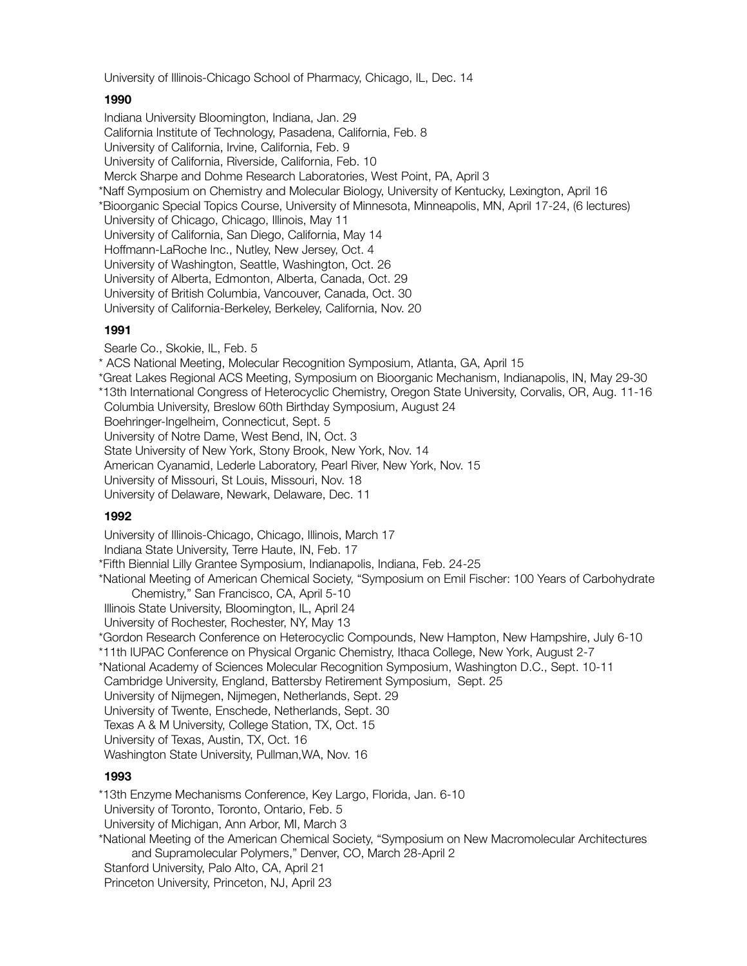University of Illinois-Chicago School of Pharmacy, Chicago, IL, Dec. 14

## **1990**

Indiana University Bloomington, Indiana, Jan. 29 California Institute of Technology, Pasadena, California, Feb. 8 University of California, Irvine, California, Feb. 9 University of California, Riverside, California, Feb. 10 Merck Sharpe and Dohme Research Laboratories, West Point, PA, April 3 \*Naff Symposium on Chemistry and Molecular Biology, University of Kentucky, Lexington, April 16 \*Bioorganic Special Topics Course, University of Minnesota, Minneapolis, MN, April 17-24, (6 lectures) University of Chicago, Chicago, Illinois, May 11 University of California, San Diego, California, May 14 Hoffmann-LaRoche Inc., Nutley, New Jersey, Oct. 4 University of Washington, Seattle, Washington, Oct. 26 University of Alberta, Edmonton, Alberta, Canada, Oct. 29 University of British Columbia, Vancouver, Canada, Oct. 30 University of California-Berkeley, Berkeley, California, Nov. 20

# **1991**

Searle Co., Skokie, IL, Feb. 5

\* ACS National Meeting, Molecular Recognition Symposium, Atlanta, GA, April 15

- \*Great Lakes Regional ACS Meeting, Symposium on Bioorganic Mechanism, Indianapolis, IN, May 29-30 \*13th International Congress of Heterocyclic Chemistry, Oregon State University, Corvalis, OR, Aug. 11-16
- Columbia University, Breslow 60th Birthday Symposium, August 24

Boehringer-Ingelheim, Connecticut, Sept. 5

University of Notre Dame, West Bend, IN, Oct. 3

- State University of New York, Stony Brook, New York, Nov. 14
- American Cyanamid, Lederle Laboratory, Pearl River, New York, Nov. 15

University of Missouri, St Louis, Missouri, Nov. 18

University of Delaware, Newark, Delaware, Dec. 11

# **1992**

University of Illinois-Chicago, Chicago, Illinois, March 17

Indiana State University, Terre Haute, IN, Feb. 17

\*Fifth Biennial Lilly Grantee Symposium, Indianapolis, Indiana, Feb. 24-25

\*National Meeting of American Chemical Society, "Symposium on Emil Fischer: 100 Years of Carbohydrate Chemistry," San Francisco, CA, April 5-10

- Illinois State University, Bloomington, IL, April 24
- University of Rochester, Rochester, NY, May 13

\*Gordon Research Conference on Heterocyclic Compounds, New Hampton, New Hampshire, July 6-10

- \*11th IUPAC Conference on Physical Organic Chemistry, Ithaca College, New York, August 2-7
- \*National Academy of Sciences Molecular Recognition Symposium, Washington D.C., Sept. 10-11

Cambridge University, England, Battersby Retirement Symposium, Sept. 25

University of Nijmegen, Nijmegen, Netherlands, Sept. 29

University of Twente, Enschede, Netherlands, Sept. 30

Texas A & M University, College Station, TX, Oct. 15

University of Texas, Austin, TX, Oct. 16

Washington State University, Pullman,WA, Nov. 16

# **1993**

\*13th Enzyme Mechanisms Conference, Key Largo, Florida, Jan. 6-10 University of Toronto, Toronto, Ontario, Feb. 5 University of Michigan, Ann Arbor, MI, March 3 \*National Meeting of the American Chemical Society, "Symposium on New Macromolecular Architectures and Supramolecular Polymers," Denver, CO, March 28-April 2 Stanford University, Palo Alto, CA, April 21 Princeton University, Princeton, NJ, April 23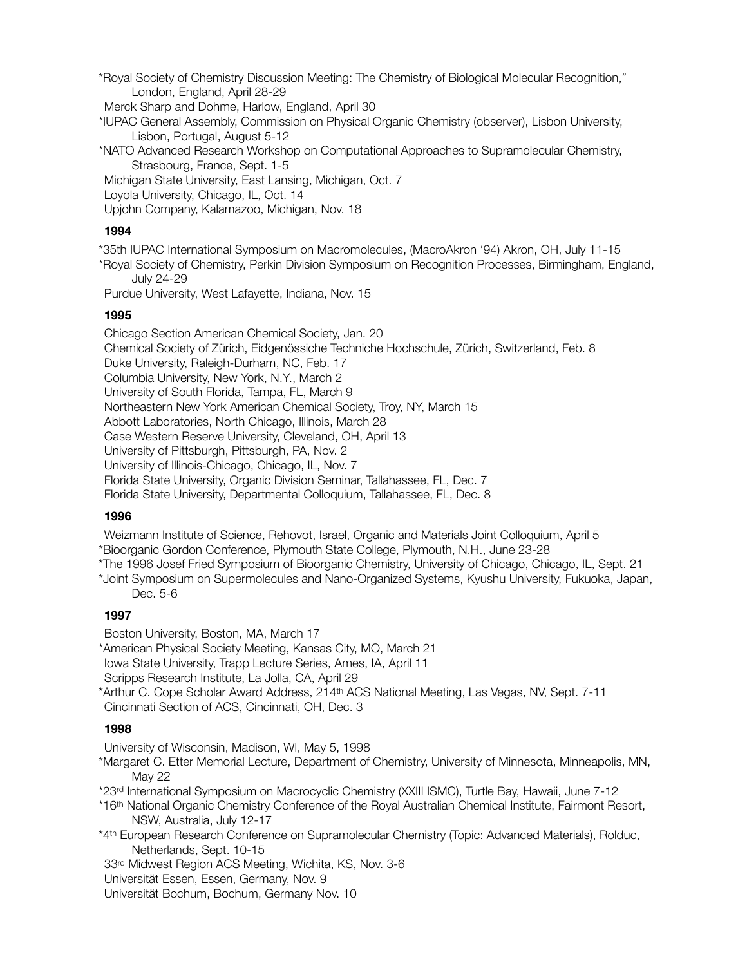\*Royal Society of Chemistry Discussion Meeting: The Chemistry of Biological Molecular Recognition," London, England, April 28-29

Merck Sharp and Dohme, Harlow, England, April 30

\*IUPAC General Assembly, Commission on Physical Organic Chemistry (observer), Lisbon University, Lisbon, Portugal, August 5-12

\*NATO Advanced Research Workshop on Computational Approaches to Supramolecular Chemistry, Strasbourg, France, Sept. 1-5

Michigan State University, East Lansing, Michigan, Oct. 7

Loyola University, Chicago, IL, Oct. 14

Upjohn Company, Kalamazoo, Michigan, Nov. 18

#### **1994**

\*35th IUPAC International Symposium on Macromolecules, (MacroAkron '94) Akron, OH, July 11-15

\*Royal Society of Chemistry, Perkin Division Symposium on Recognition Processes, Birmingham, England, July 24-29

Purdue University, West Lafayette, Indiana, Nov. 15

## **1995**

Chicago Section American Chemical Society, Jan. 20 Chemical Society of Zürich, Eidgenössiche Techniche Hochschule, Zürich, Switzerland, Feb. 8 Duke University, Raleigh-Durham, NC, Feb. 17 Columbia University, New York, N.Y., March 2 University of South Florida, Tampa, FL, March 9 Northeastern New York American Chemical Society, Troy, NY, March 15 Abbott Laboratories, North Chicago, Illinois, March 28 Case Western Reserve University, Cleveland, OH, April 13 University of Pittsburgh, Pittsburgh, PA, Nov. 2 University of Illinois-Chicago, Chicago, IL, Nov. 7 Florida State University, Organic Division Seminar, Tallahassee, FL, Dec. 7 Florida State University, Departmental Colloquium, Tallahassee, FL, Dec. 8

## **1996**

Weizmann Institute of Science, Rehovot, Israel, Organic and Materials Joint Colloquium, April 5

\*Bioorganic Gordon Conference, Plymouth State College, Plymouth, N.H., June 23-28

\*The 1996 Josef Fried Symposium of Bioorganic Chemistry, University of Chicago, Chicago, IL, Sept. 21

\*Joint Symposium on Supermolecules and Nano-Organized Systems, Kyushu University, Fukuoka, Japan, Dec. 5-6

## **1997**

Boston University, Boston, MA, March 17

\*American Physical Society Meeting, Kansas City, MO, March 21

Iowa State University, Trapp Lecture Series, Ames, IA, April 11

Scripps Research Institute, La Jolla, CA, April 29

\*Arthur C. Cope Scholar Award Address, 214th ACS National Meeting, Las Vegas, NV, Sept. 7-11 Cincinnati Section of ACS, Cincinnati, OH, Dec. 3

## **1998**

University of Wisconsin, Madison, WI, May 5, 1998

\*Margaret C. Etter Memorial Lecture, Department of Chemistry, University of Minnesota, Minneapolis, MN, May 22

\*23rd International Symposium on Macrocyclic Chemistry (XXIII ISMC), Turtle Bay, Hawaii, June 7-12

\*16th National Organic Chemistry Conference of the Royal Australian Chemical Institute, Fairmont Resort, NSW, Australia, July 12-17

\*4th European Research Conference on Supramolecular Chemistry (Topic: Advanced Materials), Rolduc, Netherlands, Sept. 10-15

33rd Midwest Region ACS Meeting, Wichita, KS, Nov. 3-6

Universität Essen, Essen, Germany, Nov. 9

Universität Bochum, Bochum, Germany Nov. 10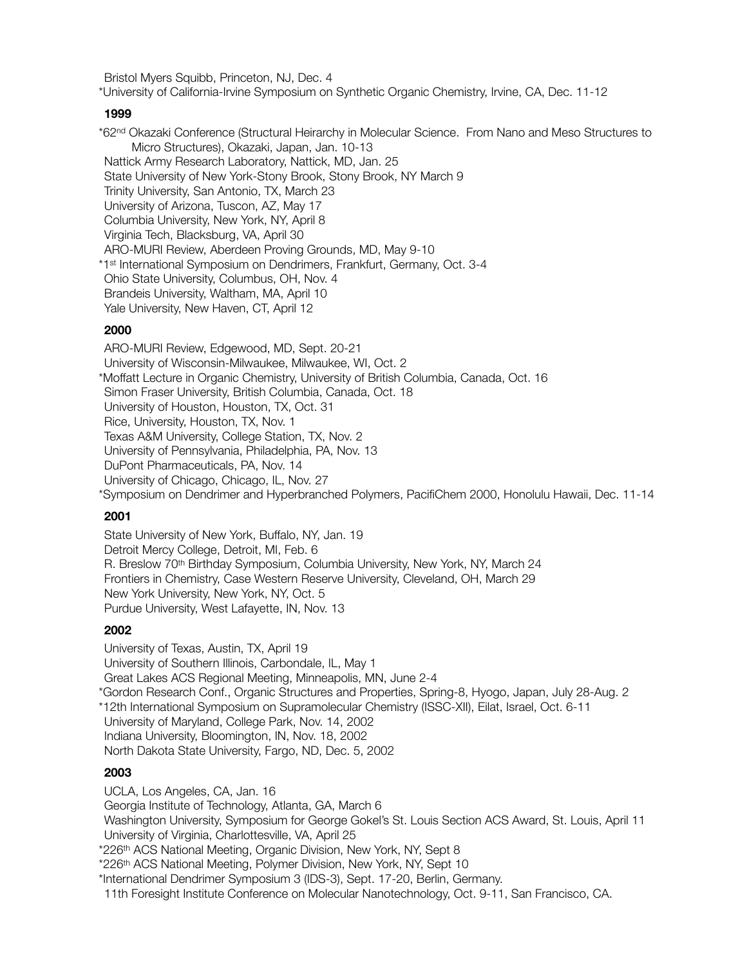Bristol Myers Squibb, Princeton, NJ, Dec. 4

\*University of California-Irvine Symposium on Synthetic Organic Chemistry, Irvine, CA, Dec. 11-12

#### **1999**

\*62nd Okazaki Conference (Structural Heirarchy in Molecular Science. From Nano and Meso Structures to Micro Structures), Okazaki, Japan, Jan. 10-13 Nattick Army Research Laboratory, Nattick, MD, Jan. 25 State University of New York-Stony Brook, Stony Brook, NY March 9 Trinity University, San Antonio, TX, March 23 University of Arizona, Tuscon, AZ, May 17 Columbia University, New York, NY, April 8 Virginia Tech, Blacksburg, VA, April 30 ARO-MURI Review, Aberdeen Proving Grounds, MD, May 9-10 \*1st International Symposium on Dendrimers, Frankfurt, Germany, Oct. 3-4 Ohio State University, Columbus, OH, Nov. 4 Brandeis University, Waltham, MA, April 10 Yale University, New Haven, CT, April 12

## **2000**

ARO-MURI Review, Edgewood, MD, Sept. 20-21 University of Wisconsin-Milwaukee, Milwaukee, WI, Oct. 2 \*Moffatt Lecture in Organic Chemistry, University of British Columbia, Canada, Oct. 16 Simon Fraser University, British Columbia, Canada, Oct. 18 University of Houston, Houston, TX, Oct. 31 Rice, University, Houston, TX, Nov. 1 Texas A&M University, College Station, TX, Nov. 2 University of Pennsylvania, Philadelphia, PA, Nov. 13 DuPont Pharmaceuticals, PA, Nov. 14 University of Chicago, Chicago, IL, Nov. 27 \*Symposium on Dendrimer and Hyperbranched Polymers, PacifiChem 2000, Honolulu Hawaii, Dec. 11-14

## **2001**

State University of New York, Buffalo, NY, Jan. 19 Detroit Mercy College, Detroit, MI, Feb. 6 R. Breslow 70th Birthday Symposium, Columbia University, New York, NY, March 24 Frontiers in Chemistry, Case Western Reserve University, Cleveland, OH, March 29 New York University, New York, NY, Oct. 5 Purdue University, West Lafayette, IN, Nov. 13

## **2002**

University of Texas, Austin, TX, April 19 University of Southern Illinois, Carbondale, IL, May 1 Great Lakes ACS Regional Meeting, Minneapolis, MN, June 2-4 \*Gordon Research Conf., Organic Structures and Properties, Spring-8, Hyogo, Japan, July 28-Aug. 2 \*12th International Symposium on Supramolecular Chemistry (ISSC-XII), Eilat, Israel, Oct. 6-11 University of Maryland, College Park, Nov. 14, 2002 Indiana University, Bloomington, IN, Nov. 18, 2002 North Dakota State University, Fargo, ND, Dec. 5, 2002

## **2003**

UCLA, Los Angeles, CA, Jan. 16 Georgia Institute of Technology, Atlanta, GA, March 6 Washington University, Symposium for George Gokel's St. Louis Section ACS Award, St. Louis, April 11 University of Virginia, Charlottesville, VA, April 25 \*226th ACS National Meeting, Organic Division, New York, NY, Sept 8 \*226th ACS National Meeting, Polymer Division, New York, NY, Sept 10 \*International Dendrimer Symposium 3 (IDS-3), Sept. 17-20, Berlin, Germany. 11th Foresight Institute Conference on Molecular Nanotechnology, Oct. 9-11, San Francisco, CA.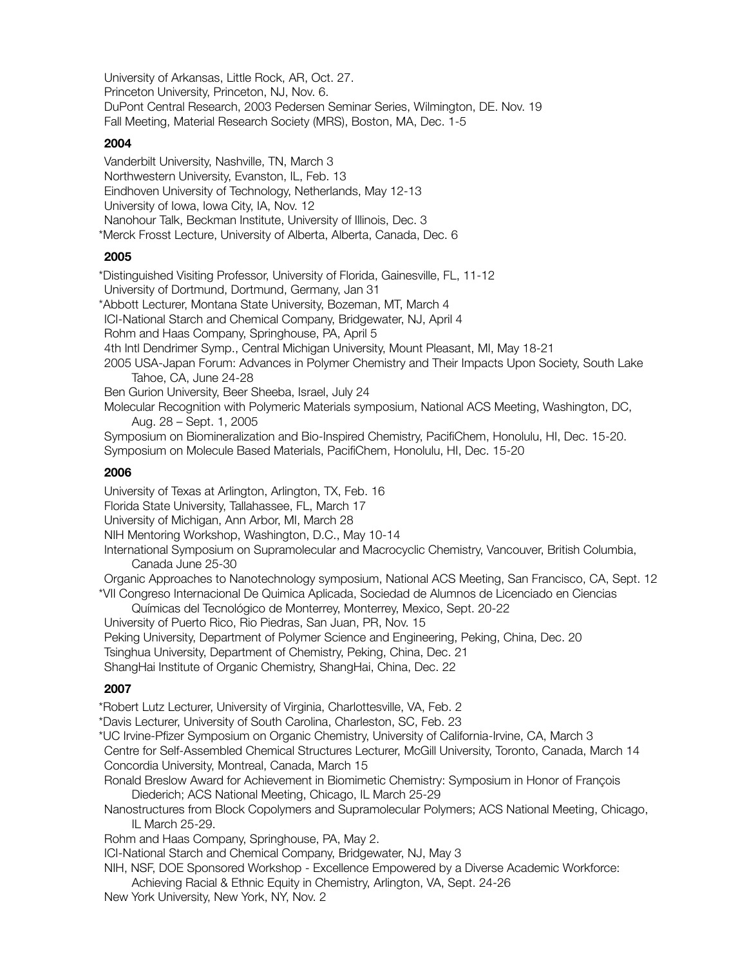University of Arkansas, Little Rock, AR, Oct. 27. Princeton University, Princeton, NJ, Nov. 6. DuPont Central Research, 2003 Pedersen Seminar Series, Wilmington, DE. Nov. 19 Fall Meeting, Material Research Society (MRS), Boston, MA, Dec. 1-5

#### **2004**

Vanderbilt University, Nashville, TN, March 3 Northwestern University, Evanston, IL, Feb. 13 Eindhoven University of Technology, Netherlands, May 12-13 University of Iowa, Iowa City, IA, Nov. 12 Nanohour Talk, Beckman Institute, University of Illinois, Dec. 3 \*Merck Frosst Lecture, University of Alberta, Alberta, Canada, Dec. 6

## **2005**

\*Distinguished Visiting Professor, University of Florida, Gainesville, FL, 11-12 University of Dortmund, Dortmund, Germany, Jan 31 \*Abbott Lecturer, Montana State University, Bozeman, MT, March 4 ICI-National Starch and Chemical Company, Bridgewater, NJ, April 4 Rohm and Haas Company, Springhouse, PA, April 5 4th Intl Dendrimer Symp., Central Michigan University, Mount Pleasant, MI, May 18-21 2005 USA-Japan Forum: Advances in Polymer Chemistry and Their Impacts Upon Society, South Lake Tahoe, CA, June 24-28 Ben Gurion University, Beer Sheeba, Israel, July 24 Molecular Recognition with Polymeric Materials symposium, National ACS Meeting, Washington, DC, Aug. 28 – Sept. 1, 2005 Symposium on Biomineralization and Bio-Inspired Chemistry, PacifiChem, Honolulu, HI, Dec. 15-20. Symposium on Molecule Based Materials, PacifiChem, Honolulu, HI, Dec. 15-20

## **2006**

University of Texas at Arlington, Arlington, TX, Feb. 16 Florida State University, Tallahassee, FL, March 17 University of Michigan, Ann Arbor, MI, March 28 NIH Mentoring Workshop, Washington, D.C., May 10-14 International Symposium on Supramolecular and Macrocyclic Chemistry, Vancouver, British Columbia, Canada June 25-30

Organic Approaches to Nanotechnology symposium, National ACS Meeting, San Francisco, CA, Sept. 12 \*VII Congreso Internacional De Quimica Aplicada, Sociedad de Alumnos de Licenciado en Ciencias

Químicas del Tecnológico de Monterrey, Monterrey, Mexico, Sept. 20-22

University of Puerto Rico, Rio Piedras, San Juan, PR, Nov. 15

Peking University, Department of Polymer Science and Engineering, Peking, China, Dec. 20

Tsinghua University, Department of Chemistry, Peking, China, Dec. 21

ShangHai Institute of Organic Chemistry, ShangHai, China, Dec. 22

## **2007**

\*Robert Lutz Lecturer, University of Virginia, Charlottesville, VA, Feb. 2

\*Davis Lecturer, University of South Carolina, Charleston, SC, Feb. 23

\*UC Irvine-Pfizer Symposium on Organic Chemistry, University of California-Irvine, CA, March 3

Centre for Self-Assembled Chemical Structures Lecturer, McGill University, Toronto, Canada, March 14 Concordia University, Montreal, Canada, March 15

Ronald Breslow Award for Achievement in Biomimetic Chemistry: Symposium in Honor of François Diederich; ACS National Meeting, Chicago, IL March 25-29

Nanostructures from Block Copolymers and Supramolecular Polymers; ACS National Meeting, Chicago, IL March 25-29.

Rohm and Haas Company, Springhouse, PA, May 2.

ICI-National Starch and Chemical Company, Bridgewater, NJ, May 3

NIH, NSF, DOE Sponsored Workshop - Excellence Empowered by a Diverse Academic Workforce: Achieving Racial & Ethnic Equity in Chemistry, Arlington, VA, Sept. 24-26

New York University, New York, NY, Nov. 2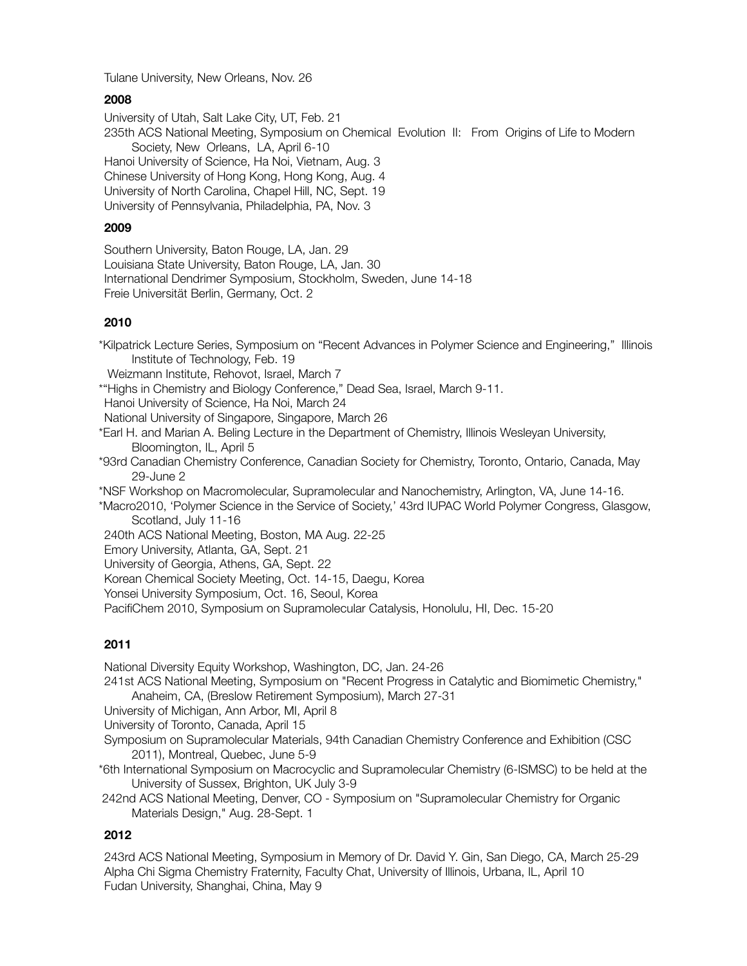Tulane University, New Orleans, Nov. 26

## **2008**

University of Utah, Salt Lake City, UT, Feb. 21 235th ACS National Meeting, Symposium on Chemical Evolution II: From Origins of Life to Modern Society, New Orleans, LA, April 6-10 Hanoi University of Science, Ha Noi, Vietnam, Aug. 3 Chinese University of Hong Kong, Hong Kong, Aug. 4 University of North Carolina, Chapel Hill, NC, Sept. 19 University of Pennsylvania, Philadelphia, PA, Nov. 3

## **2009**

Southern University, Baton Rouge, LA, Jan. 29 Louisiana State University, Baton Rouge, LA, Jan. 30 International Dendrimer Symposium, Stockholm, Sweden, June 14-18 Freie Universität Berlin, Germany, Oct. 2

## **2010**

\*Kilpatrick Lecture Series, Symposium on "Recent Advances in Polymer Science and Engineering," Illinois Institute of Technology, Feb. 19

Weizmann Institute, Rehovot, Israel, March 7

\*"Highs in Chemistry and Biology Conference," Dead Sea, Israel, March 9-11.

Hanoi University of Science, Ha Noi, March 24

National University of Singapore, Singapore, March 26

\*Earl H. and Marian A. Beling Lecture in the Department of Chemistry, Illinois Wesleyan University, Bloomington, IL, April 5

\*93rd Canadian Chemistry Conference, Canadian Society for Chemistry, Toronto, Ontario, Canada, May 29-June 2

\*NSF Workshop on Macromolecular, Supramolecular and Nanochemistry, Arlington, VA, June 14-16.

\*Macro2010, 'Polymer Science in the Service of Society,' 43rd IUPAC World Polymer Congress, Glasgow, Scotland, July 11-16

240th ACS National Meeting, Boston, MA Aug. 22-25

Emory University, Atlanta, GA, Sept. 21

University of Georgia, Athens, GA, Sept. 22

Korean Chemical Society Meeting, Oct. 14-15, Daegu, Korea

Yonsei University Symposium, Oct. 16, Seoul, Korea

PacifiChem 2010, Symposium on Supramolecular Catalysis, Honolulu, HI, Dec. 15-20

# **2011**

National Diversity Equity Workshop, Washington, DC, Jan. 24-26

241st ACS National Meeting, Symposium on "Recent Progress in Catalytic and Biomimetic Chemistry," Anaheim, CA, (Breslow Retirement Symposium), March 27-31

University of Michigan, Ann Arbor, MI, April 8

University of Toronto, Canada, April 15

Symposium on Supramolecular Materials, 94th Canadian Chemistry Conference and Exhibition (CSC 2011), Montreal, Quebec, June 5-9

\*6th International Symposium on Macrocyclic and Supramolecular Chemistry (6-ISMSC) to be held at the University of Sussex, Brighton, UK July 3-9

 242nd ACS National Meeting, Denver, CO - Symposium on "Supramolecular Chemistry for Organic Materials Design," Aug. 28-Sept. 1

# **2012**

243rd ACS National Meeting, Symposium in Memory of Dr. David Y. Gin, San Diego, CA, March 25-29 Alpha Chi Sigma Chemistry Fraternity, Faculty Chat, University of Illinois, Urbana, IL, April 10 Fudan University, Shanghai, China, May 9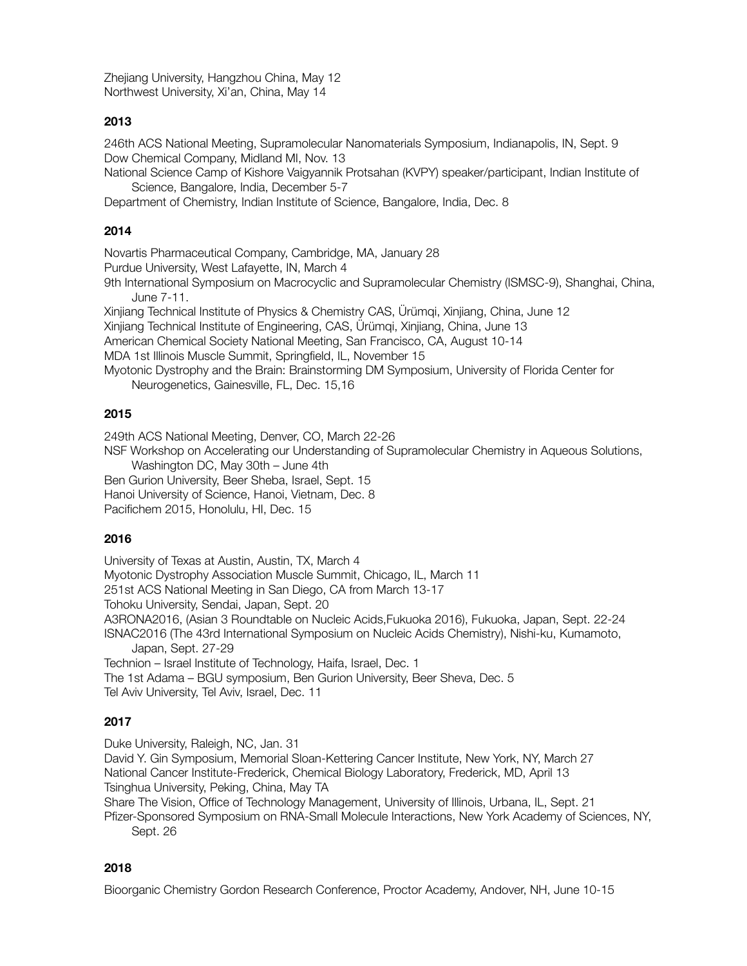Zhejiang University, Hangzhou China, May 12 Northwest University, Xi'an, China, May 14

## **2013**

246th ACS National Meeting, Supramolecular Nanomaterials Symposium, Indianapolis, IN, Sept. 9 Dow Chemical Company, Midland MI, Nov. 13

National Science Camp of Kishore Vaigyannik Protsahan (KVPY) speaker/participant, Indian Institute of Science, Bangalore, India, December 5-7

Department of Chemistry, Indian Institute of Science, Bangalore, India, Dec. 8

## **2014**

Novartis Pharmaceutical Company, Cambridge, MA, January 28

Purdue University, West Lafayette, IN, March 4

9th International Symposium on Macrocyclic and Supramolecular Chemistry (ISMSC-9), Shanghai, China, June 7-11.

Xinjiang Technical Institute of Physics & Chemistry CAS, Ürümqi, Xinjiang, China, June 12

Xinjiang Technical Institute of Engineering, CAS, Ürümqi, Xinjiang, China, June 13

American Chemical Society National Meeting, San Francisco, CA, August 10-14

MDA 1st Illinois Muscle Summit, Springfield, IL, November 15

Myotonic Dystrophy and the Brain: Brainstorming DM Symposium, University of Florida Center for Neurogenetics, Gainesville, FL, Dec. 15,16

## **2015**

249th ACS National Meeting, Denver, CO, March 22-26

NSF Workshop on Accelerating our Understanding of Supramolecular Chemistry in Aqueous Solutions, Washington DC, May 30th – June 4th

Ben Gurion University, Beer Sheba, Israel, Sept. 15

Hanoi University of Science, Hanoi, Vietnam, Dec. 8

Pacifichem 2015, Honolulu, HI, Dec. 15

## **2016**

University of Texas at Austin, Austin, TX, March 4 Myotonic Dystrophy Association Muscle Summit, Chicago, IL, March 11 251st ACS National Meeting in San Diego, CA from March 13-17 Tohoku University, Sendai, Japan, Sept. 20 A3RONA2016, (Asian 3 Roundtable on Nucleic Acids,Fukuoka 2016), Fukuoka, Japan, Sept. 22-24 ISNAC2016 (The 43rd International Symposium on Nucleic Acids Chemistry), Nishi-ku, Kumamoto, Japan, Sept. 27-29 Technion – Israel Institute of Technology, Haifa, Israel, Dec. 1 The 1st Adama – BGU symposium, Ben Gurion University, Beer Sheva, Dec. 5 Tel Aviv University, Tel Aviv, Israel, Dec. 11

# **2017**

Duke University, Raleigh, NC, Jan. 31

David Y. Gin Symposium, Memorial Sloan-Kettering Cancer Institute, New York, NY, March 27 National Cancer Institute-Frederick, Chemical Biology Laboratory, Frederick, MD, April 13

Tsinghua University, Peking, China, May TA

Share The Vision, Office of Technology Management, University of Illinois, Urbana, IL, Sept. 21

Pfizer-Sponsored Symposium on RNA-Small Molecule Interactions, New York Academy of Sciences, NY, Sept. 26

## **2018**

Bioorganic Chemistry Gordon Research Conference, Proctor Academy, Andover, NH, June 10-15